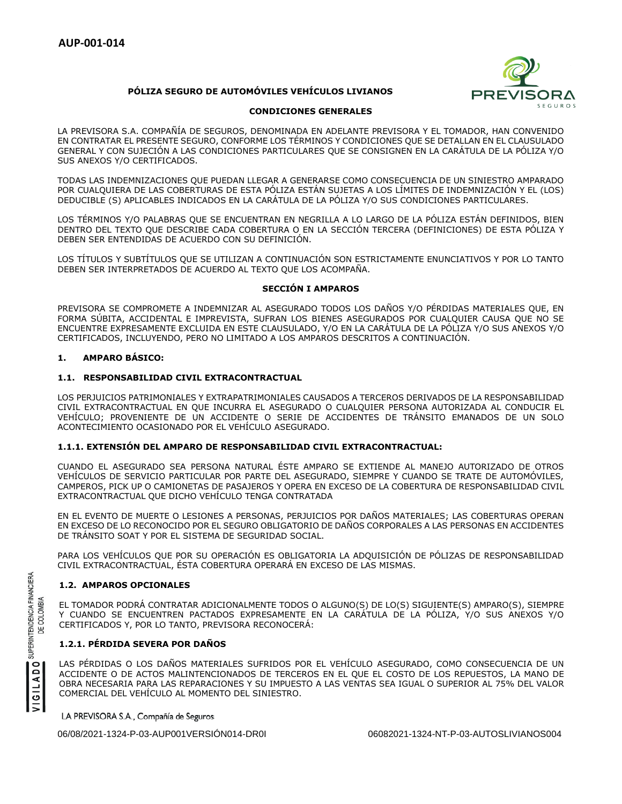# **PÓLIZA SEGURO DE AUTOMÓVILES VEHÍCULOS LIVIANOS**



# **CONDICIONES GENERALES**

LA PREVISORA S.A. COMPAÑÍA DE SEGUROS, DENOMINADA EN ADELANTE PREVISORA Y EL TOMADOR, HAN CONVENIDO EN CONTRATAR EL PRESENTE SEGURO, CONFORME LOS TÉRMINOS Y CONDICIONES QUE SE DETALLAN EN EL CLAUSULADO GENERAL Y CON SUJECIÓN A LAS CONDICIONES PARTICULARES QUE SE CONSIGNEN EN LA CARÁTULA DE LA PÓLIZA Y/O SUS ANEXOS Y/O CERTIFICADOS.

TODAS LAS INDEMNIZACIONES QUE PUEDAN LLEGAR A GENERARSE COMO CONSECUENCIA DE UN SINIESTRO AMPARADO POR CUALQUIERA DE LAS COBERTURAS DE ESTA PÓLIZA ESTÁN SUJETAS A LOS LÍMITES DE INDEMNIZACIÓN Y EL (LOS) DEDUCIBLE (S) APLICABLES INDICADOS EN LA CARÁTULA DE LA PÓLIZA Y/O SUS CONDICIONES PARTICULARES.

LOS TÉRMINOS Y/O PALABRAS QUE SE ENCUENTRAN EN NEGRILLA A LO LARGO DE LA PÓLIZA ESTÁN DEFINIDOS, BIEN DENTRO DEL TEXTO QUE DESCRIBE CADA COBERTURA O EN LA SECCIÓN TERCERA (DEFINICIONES) DE ESTA PÓLIZA Y DEBEN SER ENTENDIDAS DE ACUERDO CON SU DEFINICIÓN.

LOS TÍTULOS Y SUBTÍTULOS QUE SE UTILIZAN A CONTINUACIÓN SON ESTRICTAMENTE ENUNCIATIVOS Y POR LO TANTO DEBEN SER INTERPRETADOS DE ACUERDO AL TEXTO QUE LOS ACOMPAÑA.

# **SECCIÓN I AMPAROS**

PREVISORA SE COMPROMETE A INDEMNIZAR AL ASEGURADO TODOS LOS DAÑOS Y/O PÉRDIDAS MATERIALES QUE, EN FORMA SÚBITA, ACCIDENTAL E IMPREVISTA, SUFRAN LOS BIENES ASEGURADOS POR CUALQUIER CAUSA QUE NO SE ENCUENTRE EXPRESAMENTE EXCLUIDA EN ESTE CLAUSULADO, Y/O EN LA CARÁTULA DE LA PÓLIZA Y/O SUS ANEXOS Y/O CERTIFICADOS, INCLUYENDO, PERO NO LIMITADO A LOS AMPAROS DESCRITOS A CONTINUACIÓN.

# **1. AMPARO BÁSICO:**

# **1.1. RESPONSABILIDAD CIVIL EXTRACONTRACTUAL**

LOS PERJUICIOS PATRIMONIALES Y EXTRAPATRIMONIALES CAUSADOS A TERCEROS DERIVADOS DE LA RESPONSABILIDAD CIVIL EXTRACONTRACTUAL EN QUE INCURRA EL ASEGURADO O CUALQUIER PERSONA AUTORIZADA AL CONDUCIR EL VEHÍCULO; PROVENIENTE DE UN ACCIDENTE O SERIE DE ACCIDENTES DE TRÁNSITO EMANADOS DE UN SOLO ACONTECIMIENTO OCASIONADO POR EL VEHÍCULO ASEGURADO.

# **1.1.1. EXTENSIÓN DEL AMPARO DE RESPONSABILIDAD CIVIL EXTRACONTRACTUAL:**

CUANDO EL ASEGURADO SEA PERSONA NATURAL ÉSTE AMPARO SE EXTIENDE AL MANEJO AUTORIZADO DE OTROS VEHÍCULOS DE SERVICIO PARTICULAR POR PARTE DEL ASEGURADO, SIEMPRE Y CUANDO SE TRATE DE AUTOMÓVILES, CAMPEROS, PICK UP O CAMIONETAS DE PASAJEROS Y OPERA EN EXCESO DE LA COBERTURA DE RESPONSABILIDAD CIVIL EXTRACONTRACTUAL QUE DICHO VEHÍCULO TENGA CONTRATADA

EN EL EVENTO DE MUERTE O LESIONES A PERSONAS, PERJUICIOS POR DAÑOS MATERIALES; LAS COBERTURAS OPERAN EN EXCESO DE LO RECONOCIDO POR EL SEGURO OBLIGATORIO DE DAÑOS CORPORALES A LAS PERSONAS EN ACCIDENTES DE TRÁNSITO SOAT Y POR EL SISTEMA DE SEGURIDAD SOCIAL.

PARA LOS VEHÍCULOS QUE POR SU OPERACIÓN ES OBLIGATORIA LA ADQUISICIÓN DE PÓLIZAS DE RESPONSABILIDAD CIVIL EXTRACONTRACTUAL, ÉSTA COBERTURA OPERARÁ EN EXCESO DE LAS MISMAS.

# **1.2. AMPAROS OPCIONALES**

EL TOMADOR PODRÁ CONTRATAR ADICIONALMENTE TODOS O ALGUNO(S) DE LO(S) SIGUIENTE(S) AMPARO(S), SIEMPRE Y CUANDO SE ENCUENTREN PACTADOS EXPRESAMENTE EN LA CARÁTULA DE LA PÓLIZA, Y/O SUS ANEXOS Y/O CERTIFICADOS Y, POR LO TANTO, PREVISORA RECONOCERÁ:

# **1.2.1. PÉRDIDA SEVERA POR DAÑOS**

LAS PÉRDIDAS O LOS DAÑOS MATERIALES SUFRIDOS POR EL VEHÍCULO ASEGURADO, COMO CONSECUENCIA DE UN ACCIDENTE O DE ACTOS MALINTENCIONADOS DE TERCEROS EN EL QUE EL COSTO DE LOS REPUESTOS, LA MANO DE OBRA NECESARIA PARA LAS REPARACIONES Y SU IMPUESTO A LAS VENTAS SEA IGUAL O SUPERIOR AL 75% DEL VALOR COMERCIAL DEL VEHÍCULO AL MOMENTO DEL SINIESTRO.

LA PREVISORA S.A., Compañía de Seguros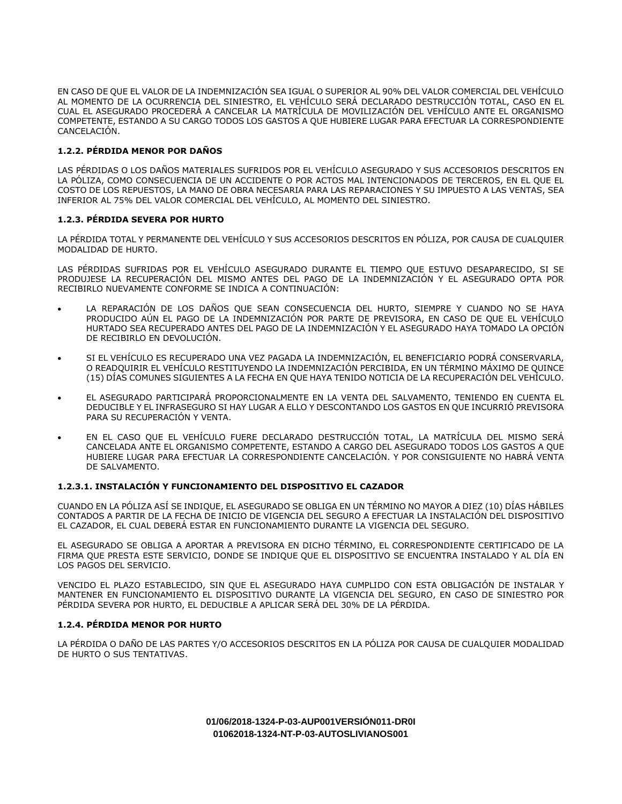EN CASO DE QUE EL VALOR DE LA INDEMNIZACIÓN SEA IGUAL O SUPERIOR AL 90% DEL VALOR COMERCIAL DEL VEHÍCULO AL MOMENTO DE LA OCURRENCIA DEL SINIESTRO, EL VEHÍCULO SERÁ DECLARADO DESTRUCCIÓN TOTAL, CASO EN EL CUAL EL ASEGURADO PROCEDERÁ A CANCELAR LA MATRÍCULA DE MOVILIZACIÓN DEL VEHÍCULO ANTE EL ORGANISMO COMPETENTE, ESTANDO A SU CARGO TODOS LOS GASTOS A QUE HUBIERE LUGAR PARA EFECTUAR LA CORRESPONDIENTE CANCELACIÓN.

# **1.2.2. PÉRDIDA MENOR POR DAÑOS**

LAS PÉRDIDAS O LOS DAÑOS MATERIALES SUFRIDOS POR EL VEHÍCULO ASEGURADO Y SUS ACCESORIOS DESCRITOS EN LA PÓLIZA, COMO CONSECUENCIA DE UN ACCIDENTE O POR ACTOS MAL INTENCIONADOS DE TERCEROS, EN EL QUE EL COSTO DE LOS REPUESTOS, LA MANO DE OBRA NECESARIA PARA LAS REPARACIONES Y SU IMPUESTO A LAS VENTAS, SEA INFERIOR AL 75% DEL VALOR COMERCIAL DEL VEHÍCULO, AL MOMENTO DEL SINIESTRO.

# **1.2.3. PÉRDIDA SEVERA POR HURTO**

LA PÉRDIDA TOTAL Y PERMANENTE DEL VEHÍCULO Y SUS ACCESORIOS DESCRITOS EN PÓLIZA, POR CAUSA DE CUALQUIER MODALIDAD DE HURTO.

LAS PÉRDIDAS SUFRIDAS POR EL VEHÍCULO ASEGURADO DURANTE EL TIEMPO QUE ESTUVO DESAPARECIDO, SI SE PRODUJESE LA RECUPERACIÓN DEL MISMO ANTES DEL PAGO DE LA INDEMNIZACIÓN Y EL ASEGURADO OPTA POR RECIBIRLO NUEVAMENTE CONFORME SE INDICA A CONTINUACIÓN:

- LA REPARACIÓN DE LOS DAÑOS QUE SEAN CONSECUENCIA DEL HURTO, SIEMPRE Y CUANDO NO SE HAYA PRODUCIDO AÚN EL PAGO DE LA INDEMNIZACIÓN POR PARTE DE PREVISORA, EN CASO DE QUE EL VEHÍCULO HURTADO SEA RECUPERADO ANTES DEL PAGO DE LA INDEMNIZACIÓN Y EL ASEGURADO HAYA TOMADO LA OPCIÓN DE RECIBIRLO EN DEVOLUCIÓN.
- SI EL VEHÍCULO ES RECUPERADO UNA VEZ PAGADA LA INDEMNIZACIÓN, EL BENEFICIARIO PODRÁ CONSERVARLA, O READQUIRIR EL VEHÍCULO RESTITUYENDO LA INDEMNIZACIÓN PERCIBIDA, EN UN TÉRMINO MÁXIMO DE QUINCE (15) DÍAS COMUNES SIGUIENTES A LA FECHA EN QUE HAYA TENIDO NOTICIA DE LA RECUPERACIÓN DEL VEHÍCULO.
- EL ASEGURADO PARTICIPARÁ PROPORCIONALMENTE EN LA VENTA DEL SALVAMENTO, TENIENDO EN CUENTA EL DEDUCIBLE Y EL INFRASEGURO SI HAY LUGAR A ELLO Y DESCONTANDO LOS GASTOS EN QUE INCURRIÓ PREVISORA PARA SU RECUPERACIÓN Y VENTA.
- EN EL CASO QUE EL VEHÍCULO FUERE DECLARADO DESTRUCCIÓN TOTAL, LA MATRÍCULA DEL MISMO SERÁ CANCELADA ANTE EL ORGANISMO COMPETENTE, ESTANDO A CARGO DEL ASEGURADO TODOS LOS GASTOS A QUE HUBIERE LUGAR PARA EFECTUAR LA CORRESPONDIENTE CANCELACIÓN. Y POR CONSIGUIENTE NO HABRÁ VENTA DE SALVAMENTO.

# **1.2.3.1. INSTALACIÓN Y FUNCIONAMIENTO DEL DISPOSITIVO EL CAZADOR**

CUANDO EN LA PÓLIZA ASÍ SE INDIQUE, EL ASEGURADO SE OBLIGA EN UN TÉRMINO NO MAYOR A DIEZ (10) DÍAS HÁBILES CONTADOS A PARTIR DE LA FECHA DE INICIO DE VIGENCIA DEL SEGURO A EFECTUAR LA INSTALACIÓN DEL DISPOSITIVO EL CAZADOR, EL CUAL DEBERÁ ESTAR EN FUNCIONAMIENTO DURANTE LA VIGENCIA DEL SEGURO.

EL ASEGURADO SE OBLIGA A APORTAR A PREVISORA EN DICHO TÉRMINO, EL CORRESPONDIENTE CERTIFICADO DE LA FIRMA QUE PRESTA ESTE SERVICIO, DONDE SE INDIQUE QUE EL DISPOSITIVO SE ENCUENTRA INSTALADO Y AL DÍA EN LOS PAGOS DEL SERVICIO.

VENCIDO EL PLAZO ESTABLECIDO, SIN QUE EL ASEGURADO HAYA CUMPLIDO CON ESTA OBLIGACIÓN DE INSTALAR Y MANTENER EN FUNCIONAMIENTO EL DISPOSITIVO DURANTE LA VIGENCIA DEL SEGURO, EN CASO DE SINIESTRO POR PÉRDIDA SEVERA POR HURTO, EL DEDUCIBLE A APLICAR SERÁ DEL 30% DE LA PÉRDIDA.

# **1.2.4. PÉRDIDA MENOR POR HURTO**

LA PÉRDIDA O DAÑO DE LAS PARTES Y/O ACCESORIOS DESCRITOS EN LA PÓLIZA POR CAUSA DE CUALQUIER MODALIDAD DE HURTO O SUS TENTATIVAS.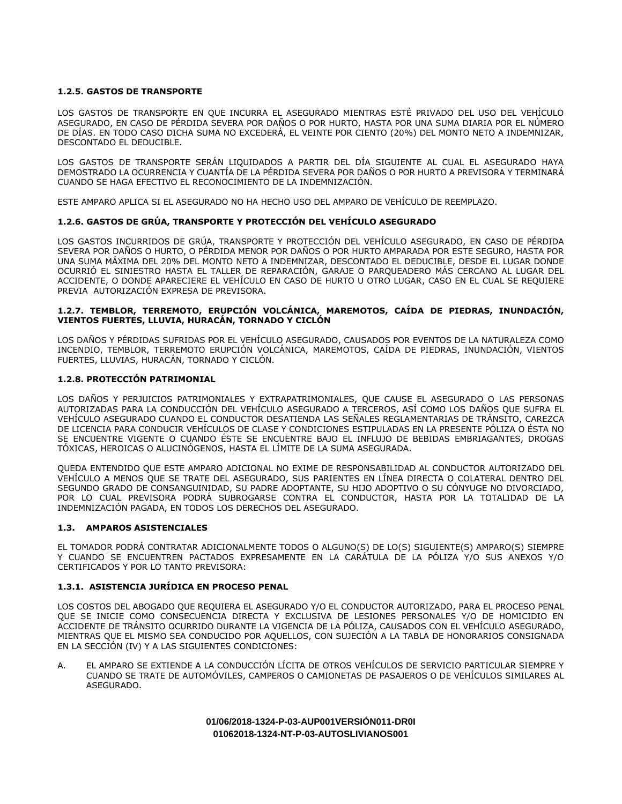# **1.2.5. GASTOS DE TRANSPORTE**

LOS GASTOS DE TRANSPORTE EN QUE INCURRA EL ASEGURADO MIENTRAS ESTÉ PRIVADO DEL USO DEL VEHÍCULO ASEGURADO, EN CASO DE PÉRDIDA SEVERA POR DAÑOS O POR HURTO, HASTA POR UNA SUMA DIARIA POR EL NÚMERO DE DÍAS. EN TODO CASO DICHA SUMA NO EXCEDERÁ, EL VEINTE POR CIENTO (20%) DEL MONTO NETO A INDEMNIZAR, DESCONTADO EL DEDUCIBLE.

LOS GASTOS DE TRANSPORTE SERÁN LIQUIDADOS A PARTIR DEL DÍA SIGUIENTE AL CUAL EL ASEGURADO HAYA DEMOSTRADO LA OCURRENCIA Y CUANTÍA DE LA PÉRDIDA SEVERA POR DAÑOS O POR HURTO A PREVISORA Y TERMINARÁ CUANDO SE HAGA EFECTIVO EL RECONOCIMIENTO DE LA INDEMNIZACIÓN.

ESTE AMPARO APLICA SI EL ASEGURADO NO HA HECHO USO DEL AMPARO DE VEHÍCULO DE REEMPLAZO.

# **1.2.6. GASTOS DE GRÚA, TRANSPORTE Y PROTECCIÓN DEL VEHÍCULO ASEGURADO**

LOS GASTOS INCURRIDOS DE GRÚA, TRANSPORTE Y PROTECCIÓN DEL VEHÍCULO ASEGURADO, EN CASO DE PÉRDIDA SEVERA POR DAÑOS O HURTO, O PÉRDIDA MENOR POR DAÑOS O POR HURTO AMPARADA POR ESTE SEGURO, HASTA POR UNA SUMA MÁXIMA DEL 20% DEL MONTO NETO A INDEMNIZAR, DESCONTADO EL DEDUCIBLE, DESDE EL LUGAR DONDE OCURRIÓ EL SINIESTRO HASTA EL TALLER DE REPARACIÓN, GARAJE O PARQUEADERO MÁS CERCANO AL LUGAR DEL ACCIDENTE, O DONDE APARECIERE EL VEHÍCULO EN CASO DE HURTO U OTRO LUGAR, CASO EN EL CUAL SE REQUIERE PREVIA AUTORIZACIÓN EXPRESA DE PREVISORA.

## **1.2.7. TEMBLOR, TERREMOTO, ERUPCIÓN VOLCÁNICA, MAREMOTOS, CAÍDA DE PIEDRAS, INUNDACIÓN, VIENTOS FUERTES, LLUVIA, HURACÁN, TORNADO Y CICLÓN**

LOS DAÑOS Y PÉRDIDAS SUFRIDAS POR EL VEHÍCULO ASEGURADO, CAUSADOS POR EVENTOS DE LA NATURALEZA COMO INCENDIO, TEMBLOR, TERREMOTO ERUPCIÓN VOLCÁNICA, MAREMOTOS, CAÍDA DE PIEDRAS, INUNDACIÓN, VIENTOS FUERTES, LLUVIAS, HURACÁN, TORNADO Y CICLÓN.

# **1.2.8. PROTECCIÓN PATRIMONIAL**

LOS DAÑOS Y PERJUICIOS PATRIMONIALES Y EXTRAPATRIMONIALES, QUE CAUSE EL ASEGURADO O LAS PERSONAS AUTORIZADAS PARA LA CONDUCCIÓN DEL VEHÍCULO ASEGURADO A TERCEROS, ASÍ COMO LOS DAÑOS QUE SUFRA EL VEHÍCULO ASEGURADO CUANDO EL CONDUCTOR DESATIENDA LAS SEÑALES REGLAMENTARIAS DE TRÁNSITO, CAREZCA DE LICENCIA PARA CONDUCIR VEHÍCULOS DE CLASE Y CONDICIONES ESTIPULADAS EN LA PRESENTE PÓLIZA O ÉSTA NO SE ENCUENTRE VIGENTE O CUANDO ÉSTE SE ENCUENTRE BAJO EL INFLUJO DE BEBIDAS EMBRIAGANTES, DROGAS TÓXICAS, HEROICAS O ALUCINÓGENOS, HASTA EL LÍMITE DE LA SUMA ASEGURADA.

QUEDA ENTENDIDO QUE ESTE AMPARO ADICIONAL NO EXIME DE RESPONSABILIDAD AL CONDUCTOR AUTORIZADO DEL VEHÍCULO A MENOS QUE SE TRATE DEL ASEGURADO, SUS PARIENTES EN LÍNEA DIRECTA O COLATERAL DENTRO DEL SEGUNDO GRADO DE CONSANGUINIDAD, SU PADRE ADOPTANTE, SU HIJO ADOPTIVO O SU CÓNYUGE NO DIVORCIADO, POR LO CUAL PREVISORA PODRÁ SUBROGARSE CONTRA EL CONDUCTOR, HASTA POR LA TOTALIDAD DE LA INDEMNIZACIÓN PAGADA, EN TODOS LOS DERECHOS DEL ASEGURADO.

## **1.3. AMPAROS ASISTENCIALES**

EL TOMADOR PODRÁ CONTRATAR ADICIONALMENTE TODOS O ALGUNO(S) DE LO(S) SIGUIENTE(S) AMPARO(S) SIEMPRE Y CUANDO SE ENCUENTREN PACTADOS EXPRESAMENTE EN LA CARÁTULA DE LA PÓLIZA Y/O SUS ANEXOS Y/O CERTIFICADOS Y POR LO TANTO PREVISORA:

## **1.3.1. ASISTENCIA JURÍDICA EN PROCESO PENAL**

LOS COSTOS DEL ABOGADO QUE REQUIERA EL ASEGURADO Y/O EL CONDUCTOR AUTORIZADO, PARA EL PROCESO PENAL QUE SE INICIE COMO CONSECUENCIA DIRECTA Y EXCLUSIVA DE LESIONES PERSONALES Y/O DE HOMICIDIO EN ACCIDENTE DE TRÁNSITO OCURRIDO DURANTE LA VIGENCIA DE LA PÓLIZA, CAUSADOS CON EL VEHÍCULO ASEGURADO, MIENTRAS QUE EL MISMO SEA CONDUCIDO POR AQUELLOS, CON SUJECIÓN A LA TABLA DE HONORARIOS CONSIGNADA EN LA SECCIÓN (IV) Y A LAS SIGUIENTES CONDICIONES:

A. EL AMPARO SE EXTIENDE A LA CONDUCCIÓN LÍCITA DE OTROS VEHÍCULOS DE SERVICIO PARTICULAR SIEMPRE Y CUANDO SE TRATE DE AUTOMÓVILES, CAMPEROS O CAMIONETAS DE PASAJEROS O DE VEHÍCULOS SIMILARES AL ASEGURADO.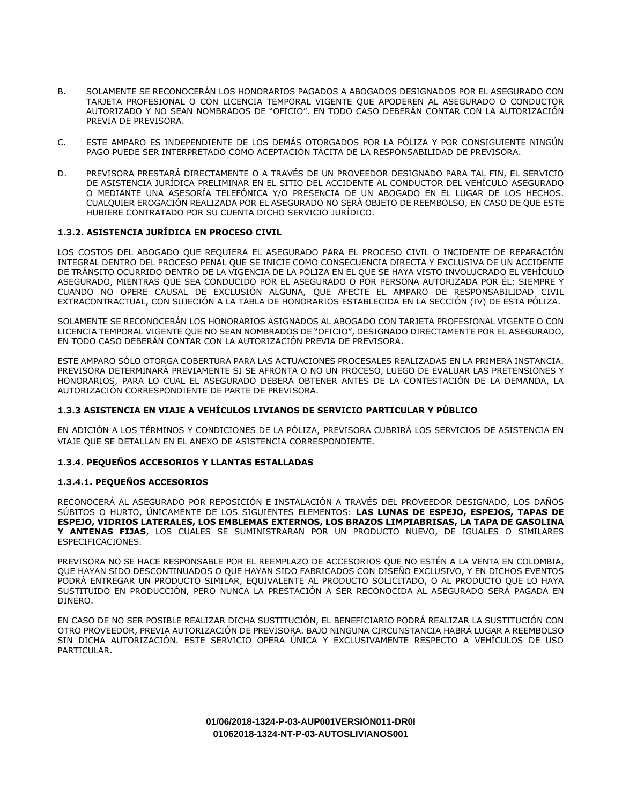- B. SOLAMENTE SE RECONOCERÁN LOS HONORARIOS PAGADOS A ABOGADOS DESIGNADOS POR EL ASEGURADO CON TARJETA PROFESIONAL O CON LICENCIA TEMPORAL VIGENTE QUE APODEREN AL ASEGURADO O CONDUCTOR AUTORIZADO Y NO SEAN NOMBRADOS DE "OFICIO". EN TODO CASO DEBERÁN CONTAR CON LA AUTORIZACIÓN PREVIA DE PREVISORA.
- C. ESTE AMPARO ES INDEPENDIENTE DE LOS DEMÁS OTORGADOS POR LA PÓLIZA Y POR CONSIGUIENTE NINGÚN PAGO PUEDE SER INTERPRETADO COMO ACEPTACIÓN TÁCITA DE LA RESPONSABILIDAD DE PREVISORA.
- D. PREVISORA PRESTARÁ DIRECTAMENTE O A TRAVÉS DE UN PROVEEDOR DESIGNADO PARA TAL FIN, EL SERVICIO DE ASISTENCIA JURÍDICA PRELIMINAR EN EL SITIO DEL ACCIDENTE AL CONDUCTOR DEL VEHÍCULO ASEGURADO O MEDIANTE UNA ASESORÍA TELEFÓNICA Y/O PRESENCIA DE UN ABOGADO EN EL LUGAR DE LOS HECHOS. CUALQUIER EROGACIÓN REALIZADA POR EL ASEGURADO NO SERÁ OBJETO DE REEMBOLSO, EN CASO DE QUE ESTE HUBIERE CONTRATADO POR SU CUENTA DICHO SERVICIO JURÍDICO.

# **1.3.2. ASISTENCIA JURÍDICA EN PROCESO CIVIL**

LOS COSTOS DEL ABOGADO QUE REQUIERA EL ASEGURADO PARA EL PROCESO CIVIL O INCIDENTE DE REPARACIÓN INTEGRAL DENTRO DEL PROCESO PENAL QUE SE INICIE COMO CONSECUENCIA DIRECTA Y EXCLUSIVA DE UN ACCIDENTE DE TRÁNSITO OCURRIDO DENTRO DE LA VIGENCIA DE LA PÓLIZA EN EL QUE SE HAYA VISTO INVOLUCRADO EL VEHÍCULO ASEGURADO, MIENTRAS QUE SEA CONDUCIDO POR EL ASEGURADO O POR PERSONA AUTORIZADA POR ÉL; SIEMPRE Y CUANDO NO OPERE CAUSAL DE EXCLUSIÓN ALGUNA, QUE AFECTE EL AMPARO DE RESPONSABILIDAD CIVIL EXTRACONTRACTUAL, CON SUJECIÓN A LA TABLA DE HONORARIOS ESTABLECIDA EN LA SECCIÓN (IV) DE ESTA PÓLIZA.

SOLAMENTE SE RECONOCERÁN LOS HONORARIOS ASIGNADOS AL ABOGADO CON TARJETA PROFESIONAL VIGENTE O CON LICENCIA TEMPORAL VIGENTE QUE NO SEAN NOMBRADOS DE "OFICIO", DESIGNADO DIRECTAMENTE POR EL ASEGURADO, EN TODO CASO DEBERÁN CONTAR CON LA AUTORIZACIÓN PREVIA DE PREVISORA.

ESTE AMPARO SÓLO OTORGA COBERTURA PARA LAS ACTUACIONES PROCESALES REALIZADAS EN LA PRIMERA INSTANCIA. PREVISORA DETERMINARÁ PREVIAMENTE SI SE AFRONTA O NO UN PROCESO, LUEGO DE EVALUAR LAS PRETENSIONES Y HONORARIOS, PARA LO CUAL EL ASEGURADO DEBERÁ OBTENER ANTES DE LA CONTESTACIÓN DE LA DEMANDA, LA AUTORIZACIÓN CORRESPONDIENTE DE PARTE DE PREVISORA.

## **1.3.3 ASISTENCIA EN VIAJE A VEHÍCULOS LIVIANOS DE SERVICIO PARTICULAR Y PÚBLICO**

EN ADICIÓN A LOS TÉRMINOS Y CONDICIONES DE LA PÓLIZA, PREVISORA CUBRIRÁ LOS SERVICIOS DE ASISTENCIA EN VIAJE QUE SE DETALLAN EN EL ANEXO DE ASISTENCIA CORRESPONDIENTE.

## **1.3.4. PEQUEÑOS ACCESORIOS Y LLANTAS ESTALLADAS**

## **1.3.4.1. PEQUEÑOS ACCESORIOS**

RECONOCERÁ AL ASEGURADO POR REPOSICIÓN E INSTALACIÓN A TRAVÉS DEL PROVEEDOR DESIGNADO, LOS DAÑOS SÚBITOS O HURTO, ÚNICAMENTE DE LOS SIGUIENTES ELEMENTOS: **LAS LUNAS DE ESPEJO, ESPEJOS, TAPAS DE ESPEJO, VIDRIOS LATERALES, LOS EMBLEMAS EXTERNOS, LOS BRAZOS LIMPIABRISAS, LA TAPA DE GASOLINA Y ANTENAS FIJAS**, LOS CUALES SE SUMINISTRARAN POR UN PRODUCTO NUEVO, DE IGUALES O SIMILARES ESPECIFICACIONES.

PREVISORA NO SE HACE RESPONSABLE POR EL REEMPLAZO DE ACCESORIOS QUE NO ESTÉN A LA VENTA EN COLOMBIA, QUE HAYAN SIDO DESCONTINUADOS O QUE HAYAN SIDO FABRICADOS CON DISEÑO EXCLUSIVO, Y EN DICHOS EVENTOS PODRÁ ENTREGAR UN PRODUCTO SIMILAR, EQUIVALENTE AL PRODUCTO SOLICITADO, O AL PRODUCTO QUE LO HAYA SUSTITUIDO EN PRODUCCIÓN, PERO NUNCA LA PRESTACIÓN A SER RECONOCIDA AL ASEGURADO SERÁ PAGADA EN DINERO.

EN CASO DE NO SER POSIBLE REALIZAR DICHA SUSTITUCIÓN, EL BENEFICIARIO PODRÁ REALIZAR LA SUSTITUCIÓN CON OTRO PROVEEDOR, PREVIA AUTORIZACIÓN DE PREVISORA. BAJO NINGUNA CIRCUNSTANCIA HABRÁ LUGAR A REEMBOLSO SIN DICHA AUTORIZACIÓN. ESTE SERVICIO OPERA ÚNICA Y EXCLUSIVAMENTE RESPECTO A VEHÍCULOS DE USO PARTICULAR.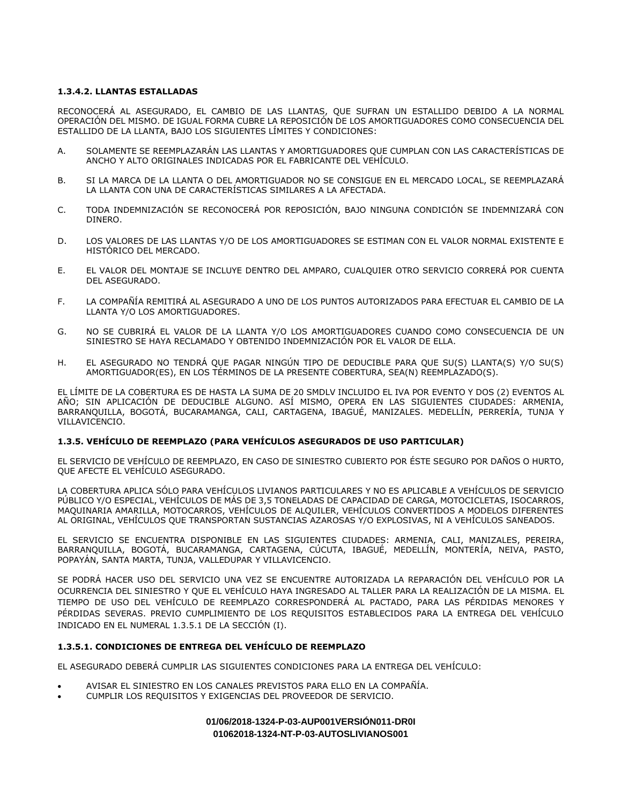# **1.3.4.2. LLANTAS ESTALLADAS**

RECONOCERÁ AL ASEGURADO, EL CAMBIO DE LAS LLANTAS, QUE SUFRAN UN ESTALLIDO DEBIDO A LA NORMAL OPERACIÓN DEL MISMO. DE IGUAL FORMA CUBRE LA REPOSICIÓN DE LOS AMORTIGUADORES COMO CONSECUENCIA DEL ESTALLIDO DE LA LLANTA, BAJO LOS SIGUIENTES LÍMITES Y CONDICIONES:

- A. SOLAMENTE SE REEMPLAZARÁN LAS LLANTAS Y AMORTIGUADORES QUE CUMPLAN CON LAS CARACTERÍSTICAS DE ANCHO Y ALTO ORIGINALES INDICADAS POR EL FABRICANTE DEL VEHÍCULO.
- B. SI LA MARCA DE LA LLANTA O DEL AMORTIGUADOR NO SE CONSIGUE EN EL MERCADO LOCAL, SE REEMPLAZARÁ LA LLANTA CON UNA DE CARACTERÍSTICAS SIMILARES A LA AFECTADA.
- C. TODA INDEMNIZACIÓN SE RECONOCERÁ POR REPOSICIÓN, BAJO NINGUNA CONDICIÓN SE INDEMNIZARÁ CON DINERO.
- D. LOS VALORES DE LAS LLANTAS Y/O DE LOS AMORTIGUADORES SE ESTIMAN CON EL VALOR NORMAL EXISTENTE E HISTÓRICO DEL MERCADO.
- E. EL VALOR DEL MONTAJE SE INCLUYE DENTRO DEL AMPARO, CUALQUIER OTRO SERVICIO CORRERÁ POR CUENTA DEL ASEGURADO.
- F. LA COMPAÑÍA REMITIRÁ AL ASEGURADO A UNO DE LOS PUNTOS AUTORIZADOS PARA EFECTUAR EL CAMBIO DE LA LLANTA Y/O LOS AMORTIGUADORES.
- G. NO SE CUBRIRÁ EL VALOR DE LA LLANTA Y/O LOS AMORTIGUADORES CUANDO COMO CONSECUENCIA DE UN SINIESTRO SE HAYA RECLAMADO Y OBTENIDO INDEMNIZACIÓN POR EL VALOR DE ELLA.
- H. EL ASEGURADO NO TENDRÁ QUE PAGAR NINGÚN TIPO DE DEDUCIBLE PARA QUE SU(S) LLANTA(S) Y/O SU(S) AMORTIGUADOR(ES), EN LOS TÉRMINOS DE LA PRESENTE COBERTURA, SEA(N) REEMPLAZADO(S).

EL LÍMITE DE LA COBERTURA ES DE HASTA LA SUMA DE 20 SMDLV INCLUIDO EL IVA POR EVENTO Y DOS (2) EVENTOS AL AÑO; SIN APLICACIÓN DE DEDUCIBLE ALGUNO. ASÍ MISMO, OPERA EN LAS SIGUIENTES CIUDADES: ARMENIA, BARRANQUILLA, BOGOTÁ, BUCARAMANGA, CALI, CARTAGENA, IBAGUÉ, MANIZALES. MEDELLÍN, PERRERÍA, TUNJA Y VILLAVICENCIO.

## **1.3.5. VEHÍCULO DE REEMPLAZO (PARA VEHÍCULOS ASEGURADOS DE USO PARTICULAR)**

EL SERVICIO DE VEHÍCULO DE REEMPLAZO, EN CASO DE SINIESTRO CUBIERTO POR ÉSTE SEGURO POR DAÑOS O HURTO, QUE AFECTE EL VEHÍCULO ASEGURADO.

LA COBERTURA APLICA SÓLO PARA VEHÍCULOS LIVIANOS PARTICULARES Y NO ES APLICABLE A VEHÍCULOS DE SERVICIO PÚBLICO Y/O ESPECIAL, VEHÍCULOS DE MÁS DE 3,5 TONELADAS DE CAPACIDAD DE CARGA, MOTOCICLETAS, ISOCARROS, MAQUINARIA AMARILLA, MOTOCARROS, VEHÍCULOS DE ALQUILER, VEHÍCULOS CONVERTIDOS A MODELOS DIFERENTES AL ORIGINAL, VEHÍCULOS QUE TRANSPORTAN SUSTANCIAS AZAROSAS Y/O EXPLOSIVAS, NI A VEHÍCULOS SANEADOS.

EL SERVICIO SE ENCUENTRA DISPONIBLE EN LAS SIGUIENTES CIUDADES: ARMENIA, CALI, MANIZALES, PEREIRA, BARRANQUILLA, BOGOTÁ, BUCARAMANGA, CARTAGENA, CÚCUTA, IBAGUÉ, MEDELLÍN, MONTERÍA, NEIVA, PASTO, POPAYÁN, SANTA MARTA, TUNJA, VALLEDUPAR Y VILLAVICENCIO.

SE PODRÁ HACER USO DEL SERVICIO UNA VEZ SE ENCUENTRE AUTORIZADA LA REPARACIÓN DEL VEHÍCULO POR LA OCURRENCIA DEL SINIESTRO Y QUE EL VEHÍCULO HAYA INGRESADO AL TALLER PARA LA REALIZACIÓN DE LA MISMA. EL TIEMPO DE USO DEL VEHÍCULO DE REEMPLAZO CORRESPONDERÁ AL PACTADO, PARA LAS PÉRDIDAS MENORES Y PÉRDIDAS SEVERAS. PREVIO CUMPLIMIENTO DE LOS REQUISITOS ESTABLECIDOS PARA LA ENTREGA DEL VEHÍCULO INDICADO EN EL NUMERAL 1.3.5.1 DE LA SECCIÓN (I).

# **1.3.5.1. CONDICIONES DE ENTREGA DEL VEHÍCULO DE REEMPLAZO**

EL ASEGURADO DEBERÁ CUMPLIR LAS SIGUIENTES CONDICIONES PARA LA ENTREGA DEL VEHÍCULO:

- AVISAR EL SINIESTRO EN LOS CANALES PREVISTOS PARA ELLO EN LA COMPAÑÍA.
- CUMPLIR LOS REQUISITOS Y EXIGENCIAS DEL PROVEEDOR DE SERVICIO.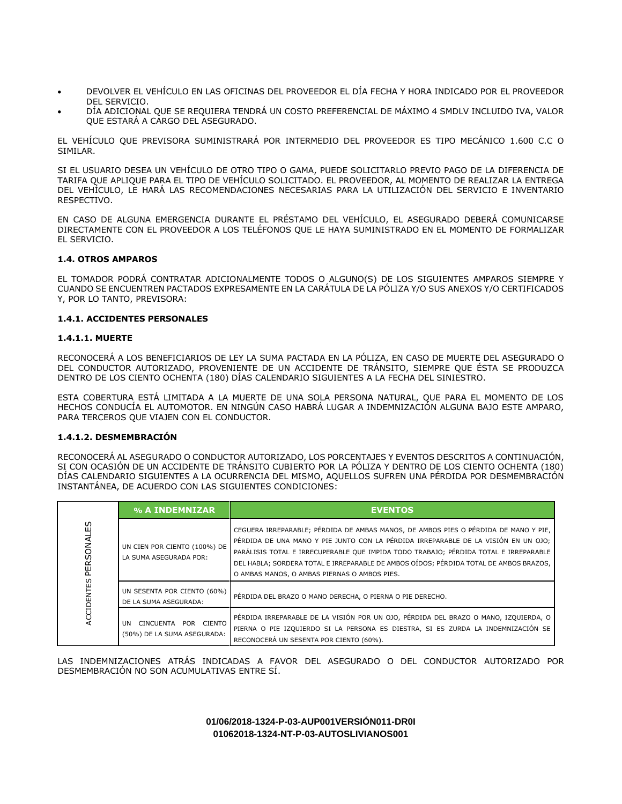- DEVOLVER EL VEHÍCULO EN LAS OFICINAS DEL PROVEEDOR EL DÍA FECHA Y HORA INDICADO POR EL PROVEEDOR DEL SERVICIO.
- DÍA ADICIONAL QUE SE REQUIERA TENDRÁ UN COSTO PREFERENCIAL DE MÁXIMO 4 SMDLV INCLUIDO IVA, VALOR QUE ESTARÁ A CARGO DEL ASEGURADO.

EL VEHÍCULO QUE PREVISORA SUMINISTRARÁ POR INTERMEDIO DEL PROVEEDOR ES TIPO MECÁNICO 1.600 C.C O SIMILAR.

SI EL USUARIO DESEA UN VEHÍCULO DE OTRO TIPO O GAMA, PUEDE SOLICITARLO PREVIO PAGO DE LA DIFERENCIA DE TARIFA QUE APLIQUE PARA EL TIPO DE VEHÍCULO SOLICITADO. EL PROVEEDOR, AL MOMENTO DE REALIZAR LA ENTREGA DEL VEHÍCULO, LE HARÁ LAS RECOMENDACIONES NECESARIAS PARA LA UTILIZACIÓN DEL SERVICIO E INVENTARIO RESPECTIVO.

EN CASO DE ALGUNA EMERGENCIA DURANTE EL PRÉSTAMO DEL VEHÍCULO, EL ASEGURADO DEBERÁ COMUNICARSE DIRECTAMENTE CON EL PROVEEDOR A LOS TELÉFONOS QUE LE HAYA SUMINISTRADO EN EL MOMENTO DE FORMALIZAR EL SERVICIO.

# **1.4. OTROS AMPAROS**

EL TOMADOR PODRÁ CONTRATAR ADICIONALMENTE TODOS O ALGUNO(S) DE LOS SIGUIENTES AMPAROS SIEMPRE Y CUANDO SE ENCUENTREN PACTADOS EXPRESAMENTE EN LA CARÁTULA DE LA PÓLIZA Y/O SUS ANEXOS Y/O CERTIFICADOS Y, POR LO TANTO, PREVISORA:

# **1.4.1. ACCIDENTES PERSONALES**

## **1.4.1.1. MUERTE**

RECONOCERÁ A LOS BENEFICIARIOS DE LEY LA SUMA PACTADA EN LA PÓLIZA, EN CASO DE MUERTE DEL ASEGURADO O DEL CONDUCTOR AUTORIZADO, PROVENIENTE DE UN ACCIDENTE DE TRÁNSITO, SIEMPRE QUE ÉSTA SE PRODUZCA DENTRO DE LOS CIENTO OCHENTA (180) DÍAS CALENDARIO SIGUIENTES A LA FECHA DEL SINIESTRO.

ESTA COBERTURA ESTÁ LIMITADA A LA MUERTE DE UNA SOLA PERSONA NATURAL, QUE PARA EL MOMENTO DE LOS HECHOS CONDUCÍA EL AUTOMOTOR. EN NINGÚN CASO HABRÁ LUGAR A INDEMNIZACIÓN ALGUNA BAJO ESTE AMPARO, PARA TERCEROS QUE VIAJEN CON EL CONDUCTOR.

## **1.4.1.2. DESMEMBRACIÓN**

RECONOCERÁ AL ASEGURADO O CONDUCTOR AUTORIZADO, LOS PORCENTAJES Y EVENTOS DESCRITOS A CONTINUACIÓN, SI CON OCASIÓN DE UN ACCIDENTE DE TRÁNSITO CUBIERTO POR LA PÓLIZA Y DENTRO DE LOS CIENTO OCHENTA (180) DÍAS CALENDARIO SIGUIENTES A LA OCURRENCIA DEL MISMO, AQUELLOS SUFREN UNA PÉRDIDA POR DESMEMBRACIÓN INSTANTÁNEA, DE ACUERDO CON LAS SIGUIENTES CONDICIONES:

| PERSONALES<br>ACCIDENTES | % A INDEMNIZAR                                             | <b>EVENTOS</b>                                                                                                                                                                                                                                                                                                                                                                                             |
|--------------------------|------------------------------------------------------------|------------------------------------------------------------------------------------------------------------------------------------------------------------------------------------------------------------------------------------------------------------------------------------------------------------------------------------------------------------------------------------------------------------|
|                          | UN CIEN POR CIENTO (100%) DE<br>LA SUMA ASEGURADA POR:     | CEGUERA IRREPARABLE; PÉRDIDA DE AMBAS MANOS, DE AMBOS PIES O PÉRDIDA DE MANO Y PIE,<br>PÉRDIDA DE UNA MANO Y PIE JUNTO CON LA PÉRDIDA IRREPARABLE DE LA VISIÓN EN UN OJO;<br>PARÁLISIS TOTAL E IRRECUPERABLE QUE IMPIDA TODO TRABAJO; PÉRDIDA TOTAL E IRREPARABLE<br>DEL HABLA; SORDERA TOTAL E IRREPARABLE DE AMBOS OÍDOS; PÉRDIDA TOTAL DE AMBOS BRAZOS,<br>O AMBAS MANOS, O AMBAS PIERNAS O AMBOS PIES. |
|                          | UN SESENTA POR CIENTO (60%)<br>DE LA SUMA ASEGURADA:       | PÉRDIDA DEL BRAZO O MANO DERECHA, O PIERNA O PIE DERECHO.                                                                                                                                                                                                                                                                                                                                                  |
|                          | CINCUENTA POR CIENTO<br>UN.<br>(50%) DE LA SUMA ASEGURADA: | PÉRDIDA IRREPARABLE DE LA VISIÓN POR UN OJO, PÉRDIDA DEL BRAZO O MANO, IZQUIERDA, O<br>PIERNA O PIE IZQUIERDO SI LA PERSONA ES DIESTRA, SI ES ZURDA LA INDEMNIZACIÓN SE<br>RECONOCERÁ UN SESENTA POR CIENTO (60%).                                                                                                                                                                                         |

LAS INDEMNIZACIONES ATRÁS INDICADAS A FAVOR DEL ASEGURADO O DEL CONDUCTOR AUTORIZADO POR DESMEMBRACIÓN NO SON ACUMULATIVAS ENTRE SÍ.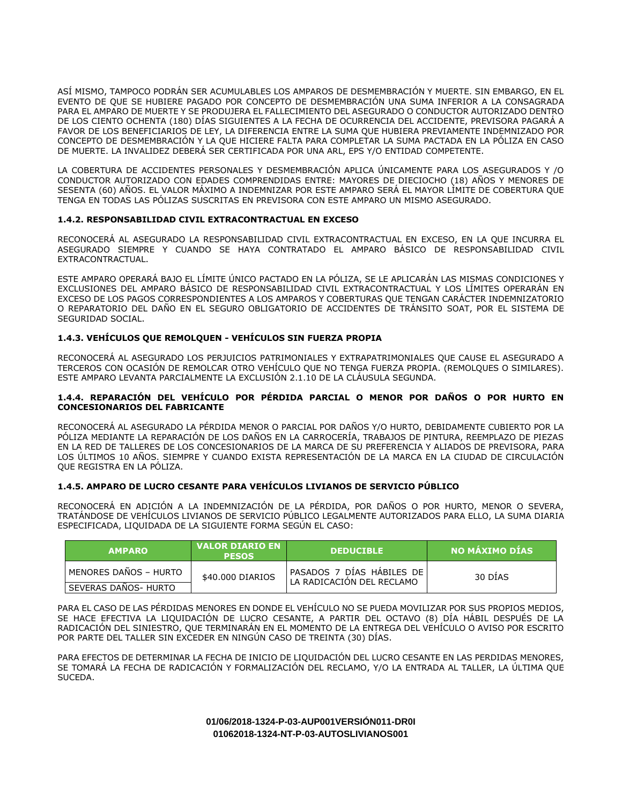ASÍ MISMO, TAMPOCO PODRÁN SER ACUMULABLES LOS AMPAROS DE DESMEMBRACIÓN Y MUERTE. SIN EMBARGO, EN EL EVENTO DE QUE SE HUBIERE PAGADO POR CONCEPTO DE DESMEMBRACIÓN UNA SUMA INFERIOR A LA CONSAGRADA PARA EL AMPARO DE MUERTE Y SE PRODUJERA EL FALLECIMIENTO DEL ASEGURADO O CONDUCTOR AUTORIZADO DENTRO DE LOS CIENTO OCHENTA (180) DÍAS SIGUIENTES A LA FECHA DE OCURRENCIA DEL ACCIDENTE, PREVISORA PAGARÁ A FAVOR DE LOS BENEFICIARIOS DE LEY, LA DIFERENCIA ENTRE LA SUMA QUE HUBIERA PREVIAMENTE INDEMNIZADO POR CONCEPTO DE DESMEMBRACIÓN Y LA QUE HICIERE FALTA PARA COMPLETAR LA SUMA PACTADA EN LA PÓLIZA EN CASO DE MUERTE. LA INVALIDEZ DEBERÁ SER CERTIFICADA POR UNA ARL, EPS Y/O ENTIDAD COMPETENTE.

LA COBERTURA DE ACCIDENTES PERSONALES Y DESMEMBRACIÓN APLICA ÚNICAMENTE PARA LOS ASEGURADOS Y /O CONDUCTOR AUTORIZADO CON EDADES COMPRENDIDAS ENTRE: MAYORES DE DIECIOCHO (18) AÑOS Y MENORES DE SESENTA (60) AÑOS. EL VALOR MÁXIMO A INDEMNIZAR POR ESTE AMPARO SERÁ EL MAYOR LÍMITE DE COBERTURA QUE TENGA EN TODAS LAS PÓLIZAS SUSCRITAS EN PREVISORA CON ESTE AMPARO UN MISMO ASEGURADO.

# **1.4.2. RESPONSABILIDAD CIVIL EXTRACONTRACTUAL EN EXCESO**

RECONOCERÁ AL ASEGURADO LA RESPONSABILIDAD CIVIL EXTRACONTRACTUAL EN EXCESO, EN LA QUE INCURRA EL ASEGURADO SIEMPRE Y CUANDO SE HAYA CONTRATADO EL AMPARO BÁSICO DE RESPONSABILIDAD CIVIL EXTRACONTRACTUAL.

ESTE AMPARO OPERARÁ BAJO EL LÍMITE ÚNICO PACTADO EN LA PÓLIZA, SE LE APLICARÁN LAS MISMAS CONDICIONES Y EXCLUSIONES DEL AMPARO BÁSICO DE RESPONSABILIDAD CIVIL EXTRACONTRACTUAL Y LOS LÍMITES OPERARÁN EN EXCESO DE LOS PAGOS CORRESPONDIENTES A LOS AMPAROS Y COBERTURAS QUE TENGAN CARÁCTER INDEMNIZATORIO O REPARATORIO DEL DAÑO EN EL SEGURO OBLIGATORIO DE ACCIDENTES DE TRÁNSITO SOAT, POR EL SISTEMA DE SEGURIDAD SOCIAL.

# **1.4.3. VEHÍCULOS QUE REMOLQUEN - VEHÍCULOS SIN FUERZA PROPIA**

RECONOCERÁ AL ASEGURADO LOS PERJUICIOS PATRIMONIALES Y EXTRAPATRIMONIALES QUE CAUSE EL ASEGURADO A TERCEROS CON OCASIÓN DE REMOLCAR OTRO VEHÍCULO QUE NO TENGA FUERZA PROPIA. (REMOLQUES O SIMILARES). ESTE AMPARO LEVANTA PARCIALMENTE LA EXCLUSIÓN 2.1.10 DE LA CLÁUSULA SEGUNDA.

## **1.4.4. REPARACIÓN DEL VEHÍCULO POR PÉRDIDA PARCIAL O MENOR POR DAÑOS O POR HURTO EN CONCESIONARIOS DEL FABRICANTE**

RECONOCERÁ AL ASEGURADO LA PÉRDIDA MENOR O PARCIAL POR DAÑOS Y/O HURTO, DEBIDAMENTE CUBIERTO POR LA PÓLIZA MEDIANTE LA REPARACIÓN DE LOS DAÑOS EN LA CARROCERÍA, TRABAJOS DE PINTURA, REEMPLAZO DE PIEZAS EN LA RED DE TALLERES DE LOS CONCESIONARIOS DE LA MARCA DE SU PREFERENCIA Y ALIADOS DE PREVISORA, PARA LOS ÚLTIMOS 10 AÑOS. SIEMPRE Y CUANDO EXISTA REPRESENTACIÓN DE LA MARCA EN LA CIUDAD DE CIRCULACIÓN QUE REGISTRA EN LA PÓLIZA.

# **1.4.5. AMPARO DE LUCRO CESANTE PARA VEHÍCULOS LIVIANOS DE SERVICIO PÚBLICO**

RECONOCERÁ EN ADICIÓN A LA INDEMNIZACIÓN DE LA PÉRDIDA, POR DAÑOS O POR HURTO, MENOR O SEVERA, TRATÁNDOSE DE VEHÍCULOS LIVIANOS DE SERVICIO PÚBLICO LEGALMENTE AUTORIZADOS PARA ELLO, LA SUMA DIARIA ESPECIFICADA, LIQUIDADA DE LA SIGUIENTE FORMA SEGÚN EL CASO:

| <b>AMPARO</b>         | <b>VALOR DIARIO EN</b><br><b>PESOS</b> | <b>DEDUCIBLE</b>                                       | NO MÁXIMO DÍAS |
|-----------------------|----------------------------------------|--------------------------------------------------------|----------------|
| MENORES DAÑOS - HURTO | \$40,000 DIARIOS                       | PASADOS 7 DIAS HABILES DE<br>LA RADICACIÓN DEL RECLAMO | 30 DIAS        |
| SEVERAS DAÑOS- HURTO  |                                        |                                                        |                |

PARA EL CASO DE LAS PÉRDIDAS MENORES EN DONDE EL VEHÍCULO NO SE PUEDA MOVILIZAR POR SUS PROPIOS MEDIOS, SE HACE EFECTIVA LA LIQUIDACIÓN DE LUCRO CESANTE, A PARTIR DEL OCTAVO (8) DÍA HÁBIL DESPUÉS DE LA RADICACIÓN DEL SINIESTRO, QUE TERMINARÁN EN EL MOMENTO DE LA ENTREGA DEL VEHÍCULO O AVISO POR ESCRITO POR PARTE DEL TALLER SIN EXCEDER EN NINGÚN CASO DE TREINTA (30) DÍAS.

PARA EFECTOS DE DETERMINAR LA FECHA DE INICIO DE LIQUIDACIÓN DEL LUCRO CESANTE EN LAS PERDIDAS MENORES, SE TOMARÁ LA FECHA DE RADICACIÓN Y FORMALIZACIÓN DEL RECLAMO, Y/O LA ENTRADA AL TALLER, LA ÚLTIMA QUE SUCEDA.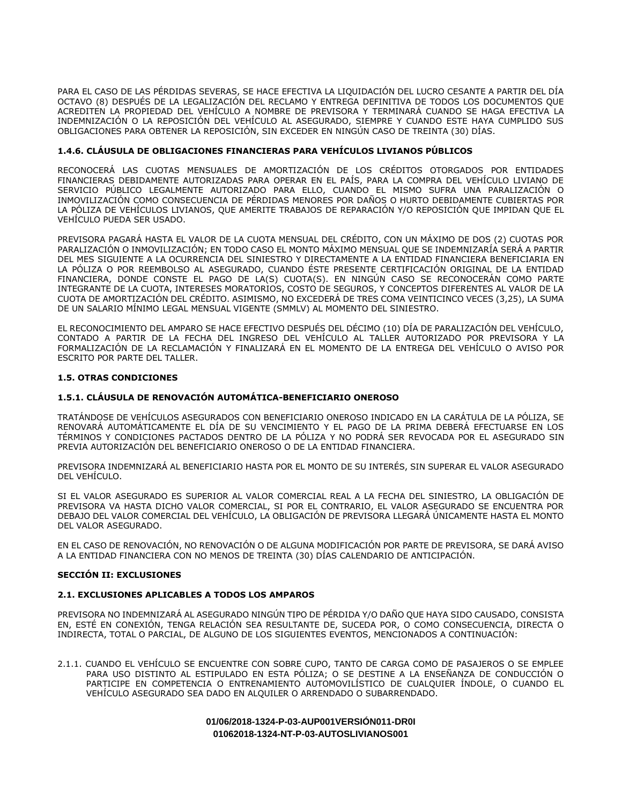PARA EL CASO DE LAS PÉRDIDAS SEVERAS, SE HACE EFECTIVA LA LIQUIDACIÓN DEL LUCRO CESANTE A PARTIR DEL DÍA OCTAVO (8) DESPUÉS DE LA LEGALIZACIÓN DEL RECLAMO Y ENTREGA DEFINITIVA DE TODOS LOS DOCUMENTOS QUE ACREDITEN LA PROPIEDAD DEL VEHÍCULO A NOMBRE DE PREVISORA Y TERMINARÁ CUANDO SE HAGA EFECTIVA LA INDEMNIZACIÓN O LA REPOSICIÓN DEL VEHÍCULO AL ASEGURADO, SIEMPRE Y CUANDO ESTE HAYA CUMPLIDO SUS OBLIGACIONES PARA OBTENER LA REPOSICIÓN, SIN EXCEDER EN NINGÚN CASO DE TREINTA (30) DÍAS.

# **1.4.6. CLÁUSULA DE OBLIGACIONES FINANCIERAS PARA VEHÍCULOS LIVIANOS PÚBLICOS**

RECONOCERÁ LAS CUOTAS MENSUALES DE AMORTIZACIÓN DE LOS CRÉDITOS OTORGADOS POR ENTIDADES FINANCIERAS DEBIDAMENTE AUTORIZADAS PARA OPERAR EN EL PAÍS, PARA LA COMPRA DEL VEHÍCULO LIVIANO DE SERVICIO PÚBLICO LEGALMENTE AUTORIZADO PARA ELLO, CUANDO EL MISMO SUFRA UNA PARALIZACIÓN O INMOVILIZACIÓN COMO CONSECUENCIA DE PÉRDIDAS MENORES POR DAÑOS O HURTO DEBIDAMENTE CUBIERTAS POR LA PÓLIZA DE VEHÍCULOS LIVIANOS, QUE AMERITE TRABAJOS DE REPARACIÓN Y/O REPOSICIÓN QUE IMPIDAN QUE EL VEHÍCULO PUEDA SER USADO.

PREVISORA PAGARÁ HASTA EL VALOR DE LA CUOTA MENSUAL DEL CRÉDITO, CON UN MÁXIMO DE DOS (2) CUOTAS POR PARALIZACIÓN O INMOVILIZACIÓN; EN TODO CASO EL MONTO MÁXIMO MENSUAL QUE SE INDEMNIZARÍA SERÁ A PARTIR DEL MES SIGUIENTE A LA OCURRENCIA DEL SINIESTRO Y DIRECTAMENTE A LA ENTIDAD FINANCIERA BENEFICIARIA EN LA PÓLIZA O POR REEMBOLSO AL ASEGURADO, CUANDO ÉSTE PRESENTE CERTIFICACIÓN ORIGINAL DE LA ENTIDAD FINANCIERA, DONDE CONSTE EL PAGO DE LA(S) CUOTA(S). EN NINGÚN CASO SE RECONOCERÁN COMO PARTE INTEGRANTE DE LA CUOTA, INTERESES MORATORIOS, COSTO DE SEGUROS, Y CONCEPTOS DIFERENTES AL VALOR DE LA CUOTA DE AMORTIZACIÓN DEL CRÉDITO. ASIMISMO, NO EXCEDERÁ DE TRES COMA VEINTICINCO VECES (3,25), LA SUMA DE UN SALARIO MÍNIMO LEGAL MENSUAL VIGENTE (SMMLV) AL MOMENTO DEL SINIESTRO.

EL RECONOCIMIENTO DEL AMPARO SE HACE EFECTIVO DESPUÉS DEL DÉCIMO (10) DÍA DE PARALIZACIÓN DEL VEHÍCULO, CONTADO A PARTIR DE LA FECHA DEL INGRESO DEL VEHÍCULO AL TALLER AUTORIZADO POR PREVISORA Y LA FORMALIZACIÓN DE LA RECLAMACIÓN Y FINALIZARÁ EN EL MOMENTO DE LA ENTREGA DEL VEHÍCULO O AVISO POR ESCRITO POR PARTE DEL TALLER.

## **1.5. OTRAS CONDICIONES**

# **1.5.1. CLÁUSULA DE RENOVACIÓN AUTOMÁTICA-BENEFICIARIO ONEROSO**

TRATÁNDOSE DE VEHÍCULOS ASEGURADOS CON BENEFICIARIO ONEROSO INDICADO EN LA CARÁTULA DE LA PÓLIZA, SE RENOVARÁ AUTOMÁTICAMENTE EL DÍA DE SU VENCIMIENTO Y EL PAGO DE LA PRIMA DEBERÁ EFECTUARSE EN LOS TÉRMINOS Y CONDICIONES PACTADOS DENTRO DE LA PÓLIZA Y NO PODRÁ SER REVOCADA POR EL ASEGURADO SIN PREVIA AUTORIZACIÓN DEL BENEFICIARIO ONEROSO O DE LA ENTIDAD FINANCIERA.

PREVISORA INDEMNIZARÁ AL BENEFICIARIO HASTA POR EL MONTO DE SU INTERÉS, SIN SUPERAR EL VALOR ASEGURADO DEL VEHÍCULO.

SI EL VALOR ASEGURADO ES SUPERIOR AL VALOR COMERCIAL REAL A LA FECHA DEL SINIESTRO, LA OBLIGACIÓN DE PREVISORA VA HASTA DICHO VALOR COMERCIAL, SI POR EL CONTRARIO, EL VALOR ASEGURADO SE ENCUENTRA POR DEBAJO DEL VALOR COMERCIAL DEL VEHÍCULO, LA OBLIGACIÓN DE PREVISORA LLEGARÁ ÚNICAMENTE HASTA EL MONTO DEL VALOR ASEGURADO.

EN EL CASO DE RENOVACIÓN, NO RENOVACIÓN O DE ALGUNA MODIFICACIÓN POR PARTE DE PREVISORA, SE DARÁ AVISO A LA ENTIDAD FINANCIERA CON NO MENOS DE TREINTA (30) DÍAS CALENDARIO DE ANTICIPACIÓN.

## **SECCIÓN II: EXCLUSIONES**

# **2.1. EXCLUSIONES APLICABLES A TODOS LOS AMPAROS**

PREVISORA NO INDEMNIZARÁ AL ASEGURADO NINGÚN TIPO DE PÉRDIDA Y/O DAÑO QUE HAYA SIDO CAUSADO, CONSISTA EN, ESTÉ EN CONEXIÓN, TENGA RELACIÓN SEA RESULTANTE DE, SUCEDA POR, O COMO CONSECUENCIA, DIRECTA O INDIRECTA, TOTAL O PARCIAL, DE ALGUNO DE LOS SIGUIENTES EVENTOS, MENCIONADOS A CONTINUACIÓN:

2.1.1. CUANDO EL VEHÍCULO SE ENCUENTRE CON SOBRE CUPO, TANTO DE CARGA COMO DE PASAJEROS O SE EMPLEE PARA USO DISTINTO AL ESTIPULADO EN ESTA PÓLIZA; O SE DESTINE A LA ENSEÑANZA DE CONDUCCIÓN O PARTICIPE EN COMPETENCIA O ENTRENAMIENTO AUTOMOVILÍSTICO DE CUALQUIER ÍNDOLE, O CUANDO EL VEHÍCULO ASEGURADO SEA DADO EN ALQUILER O ARRENDADO O SUBARRENDADO.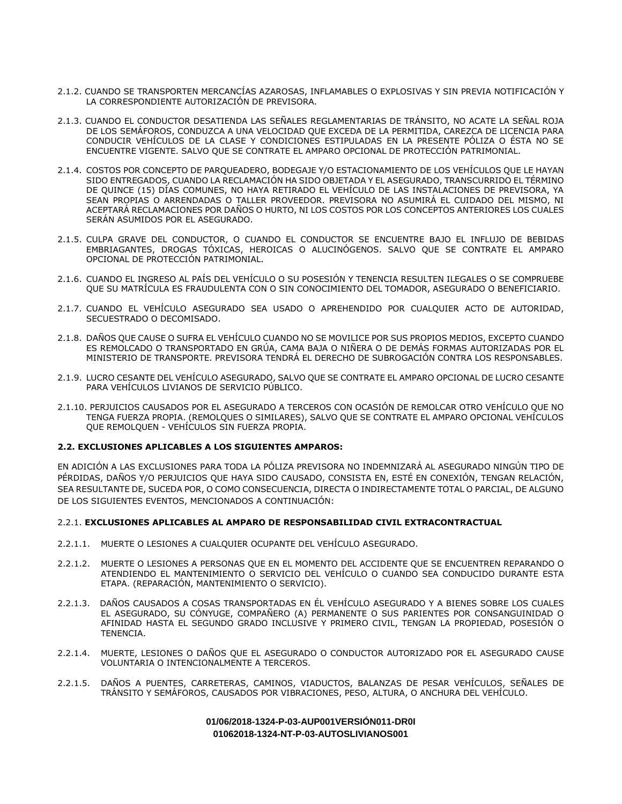- 2.1.2. CUANDO SE TRANSPORTEN MERCANCÍAS AZAROSAS, INFLAMABLES O EXPLOSIVAS Y SIN PREVIA NOTIFICACIÓN Y LA CORRESPONDIENTE AUTORIZACIÓN DE PREVISORA.
- 2.1.3. CUANDO EL CONDUCTOR DESATIENDA LAS SEÑALES REGLAMENTARIAS DE TRÁNSITO, NO ACATE LA SEÑAL ROJA DE LOS SEMÁFOROS, CONDUZCA A UNA VELOCIDAD QUE EXCEDA DE LA PERMITIDA, CAREZCA DE LICENCIA PARA CONDUCIR VEHÍCULOS DE LA CLASE Y CONDICIONES ESTIPULADAS EN LA PRESENTE PÓLIZA O ÉSTA NO SE ENCUENTRE VIGENTE. SALVO QUE SE CONTRATE EL AMPARO OPCIONAL DE PROTECCIÓN PATRIMONIAL.
- 2.1.4. COSTOS POR CONCEPTO DE PARQUEADERO, BODEGAJE Y/O ESTACIONAMIENTO DE LOS VEHÍCULOS QUE LE HAYAN SIDO ENTREGADOS, CUANDO LA RECLAMACIÓN HA SIDO OBJETADA Y EL ASEGURADO, TRANSCURRIDO EL TÉRMINO DE QUINCE (15) DÍAS COMUNES, NO HAYA RETIRADO EL VEHÍCULO DE LAS INSTALACIONES DE PREVISORA, YA SEAN PROPIAS O ARRENDADAS O TALLER PROVEEDOR. PREVISORA NO ASUMIRÁ EL CUIDADO DEL MISMO, NI ACEPTARÁ RECLAMACIONES POR DAÑOS O HURTO, NI LOS COSTOS POR LOS CONCEPTOS ANTERIORES LOS CUALES SERÁN ASUMIDOS POR EL ASEGURADO.
- 2.1.5. CULPA GRAVE DEL CONDUCTOR, O CUANDO EL CONDUCTOR SE ENCUENTRE BAJO EL INFLUJO DE BEBIDAS EMBRIAGANTES, DROGAS TÓXICAS, HEROICAS O ALUCINÓGENOS. SALVO QUE SE CONTRATE EL AMPARO OPCIONAL DE PROTECCIÓN PATRIMONIAL.
- 2.1.6. CUANDO EL INGRESO AL PAÍS DEL VEHÍCULO O SU POSESIÓN Y TENENCIA RESULTEN ILEGALES O SE COMPRUEBE QUE SU MATRÍCULA ES FRAUDULENTA CON O SIN CONOCIMIENTO DEL TOMADOR, ASEGURADO O BENEFICIARIO.
- 2.1.7. CUANDO EL VEHÍCULO ASEGURADO SEA USADO O APREHENDIDO POR CUALQUIER ACTO DE AUTORIDAD, SECUESTRADO O DECOMISADO.
- 2.1.8. DAÑOS QUE CAUSE O SUFRA EL VEHÍCULO CUANDO NO SE MOVILICE POR SUS PROPIOS MEDIOS, EXCEPTO CUANDO ES REMOLCADO O TRANSPORTADO EN GRÚA, CAMA BAJA O NIÑERA O DE DEMÁS FORMAS AUTORIZADAS POR EL MINISTERIO DE TRANSPORTE. PREVISORA TENDRÁ EL DERECHO DE SUBROGACIÓN CONTRA LOS RESPONSABLES.
- 2.1.9. LUCRO CESANTE DEL VEHÍCULO ASEGURADO, SALVO QUE SE CONTRATE EL AMPARO OPCIONAL DE LUCRO CESANTE PARA VEHÍCULOS LIVIANOS DE SERVICIO PÚBLICO.
- 2.1.10. PERJUICIOS CAUSADOS POR EL ASEGURADO A TERCEROS CON OCASIÓN DE REMOLCAR OTRO VEHÍCULO QUE NO TENGA FUERZA PROPIA. (REMOLQUES O SIMILARES), SALVO QUE SE CONTRATE EL AMPARO OPCIONAL VEHÍCULOS QUE REMOLQUEN - VEHÍCULOS SIN FUERZA PROPIA.

## **2.2. EXCLUSIONES APLICABLES A LOS SIGUIENTES AMPAROS:**

EN ADICIÓN A LAS EXCLUSIONES PARA TODA LA PÓLIZA PREVISORA NO INDEMNIZARÁ AL ASEGURADO NINGÚN TIPO DE PÉRDIDAS, DAÑOS Y/O PERJUICIOS QUE HAYA SIDO CAUSADO, CONSISTA EN, ESTÉ EN CONEXIÓN, TENGAN RELACIÓN, SEA RESULTANTE DE, SUCEDA POR, O COMO CONSECUENCIA, DIRECTA O INDIRECTAMENTE TOTAL O PARCIAL, DE ALGUNO DE LOS SIGUIENTES EVENTOS, MENCIONADOS A CONTINUACIÓN:

## 2.2.1. **EXCLUSIONES APLICABLES AL AMPARO DE RESPONSABILIDAD CIVIL EXTRACONTRACTUAL**

- 2.2.1.1. MUERTE O LESIONES A CUALQUIER OCUPANTE DEL VEHÍCULO ASEGURADO.
- 2.2.1.2. MUERTE O LESIONES A PERSONAS QUE EN EL MOMENTO DEL ACCIDENTE QUE SE ENCUENTREN REPARANDO O ATENDIENDO EL MANTENIMIENTO O SERVICIO DEL VEHÍCULO O CUANDO SEA CONDUCIDO DURANTE ESTA ETAPA. (REPARACIÓN, MANTENIMIENTO O SERVICIO).
- 2.2.1.3. DAÑOS CAUSADOS A COSAS TRANSPORTADAS EN ÉL VEHÍCULO ASEGURADO Y A BIENES SOBRE LOS CUALES EL ASEGURADO, SU CÓNYUGE, COMPAÑERO (A) PERMANENTE O SUS PARIENTES POR CONSANGUINIDAD O AFINIDAD HASTA EL SEGUNDO GRADO INCLUSIVE Y PRIMERO CIVIL, TENGAN LA PROPIEDAD, POSESIÓN O TENENCIA.
- 2.2.1.4. MUERTE, LESIONES O DAÑOS QUE EL ASEGURADO O CONDUCTOR AUTORIZADO POR EL ASEGURADO CAUSE VOLUNTARIA O INTENCIONALMENTE A TERCEROS.
- 2.2.1.5. DAÑOS A PUENTES, CARRETERAS, CAMINOS, VIADUCTOS, BALANZAS DE PESAR VEHÍCULOS, SEÑALES DE TRÁNSITO Y SEMÁFOROS, CAUSADOS POR VIBRACIONES, PESO, ALTURA, O ANCHURA DEL VEHÍCULO.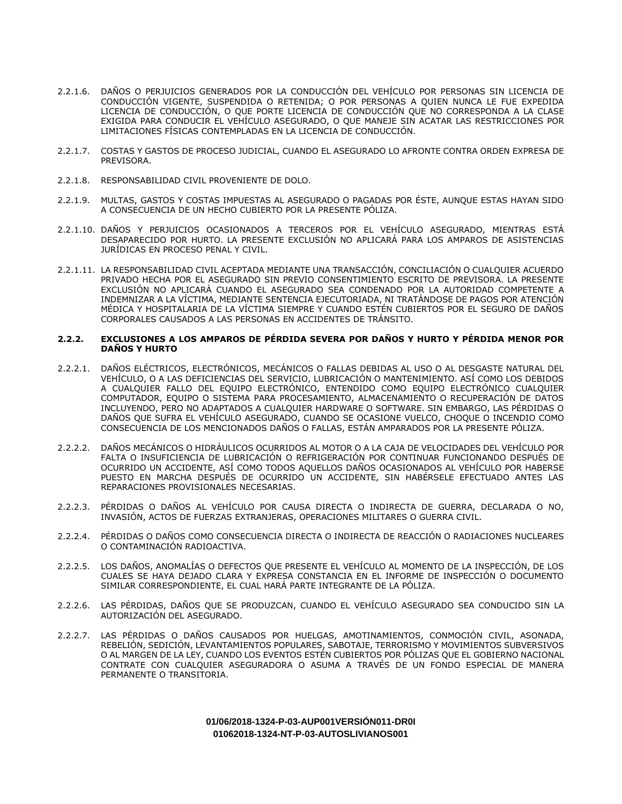- 2.2.1.6. DAÑOS O PERJUICIOS GENERADOS POR LA CONDUCCIÓN DEL VEHÍCULO POR PERSONAS SIN LICENCIA DE CONDUCCIÓN VIGENTE, SUSPENDIDA O RETENIDA; O POR PERSONAS A QUIEN NUNCA LE FUE EXPEDIDA LICENCIA DE CONDUCCIÓN, O QUE PORTE LICENCIA DE CONDUCCIÓN QUE NO CORRESPONDA A LA CLASE EXIGIDA PARA CONDUCIR EL VEHÍCULO ASEGURADO, O QUE MANEJE SIN ACATAR LAS RESTRICCIONES POR LIMITACIONES FÍSICAS CONTEMPLADAS EN LA LICENCIA DE CONDUCCIÓN.
- 2.2.1.7. COSTAS Y GASTOS DE PROCESO JUDICIAL, CUANDO EL ASEGURADO LO AFRONTE CONTRA ORDEN EXPRESA DE PREVISORA.
- 2.2.1.8. RESPONSABILIDAD CIVIL PROVENIENTE DE DOLO.
- 2.2.1.9. MULTAS, GASTOS Y COSTAS IMPUESTAS AL ASEGURADO O PAGADAS POR ÉSTE, AUNQUE ESTAS HAYAN SIDO A CONSECUENCIA DE UN HECHO CUBIERTO POR LA PRESENTE PÓLIZA.
- 2.2.1.10. DAÑOS Y PERJUICIOS OCASIONADOS A TERCEROS POR EL VEHÍCULO ASEGURADO, MIENTRAS ESTÁ DESAPARECIDO POR HURTO. LA PRESENTE EXCLUSIÓN NO APLICARÁ PARA LOS AMPAROS DE ASISTENCIAS JURÍDICAS EN PROCESO PENAL Y CIVIL.
- 2.2.1.11. LA RESPONSABILIDAD CIVIL ACEPTADA MEDIANTE UNA TRANSACCIÓN, CONCILIACIÓN O CUALQUIER ACUERDO PRIVADO HECHA POR EL ASEGURADO SIN PREVIO CONSENTIMIENTO ESCRITO DE PREVISORA. LA PRESENTE EXCLUSIÓN NO APLICARÁ CUANDO EL ASEGURADO SEA CONDENADO POR LA AUTORIDAD COMPETENTE A INDEMNIZAR A LA VÍCTIMA, MEDIANTE SENTENCIA EJECUTORIADA, NI TRATÁNDOSE DE PAGOS POR ATENCIÓN MÉDICA Y HOSPITALARIA DE LA VÍCTIMA SIEMPRE Y CUANDO ESTÉN CUBIERTOS POR EL SEGURO DE DAÑOS CORPORALES CAUSADOS A LAS PERSONAS EN ACCIDENTES DE TRÁNSITO.

#### **2.2.2. EXCLUSIONES A LOS AMPAROS DE PÉRDIDA SEVERA POR DAÑOS Y HURTO Y PÉRDIDA MENOR POR DAÑOS Y HURTO**

- 2.2.2.1. DAÑOS ELÉCTRICOS, ELECTRÓNICOS, MECÁNICOS O FALLAS DEBIDAS AL USO O AL DESGASTE NATURAL DEL VEHÍCULO, O A LAS DEFICIENCIAS DEL SERVICIO, LUBRICACIÓN O MANTENIMIENTO. ASÍ COMO LOS DEBIDOS A CUALQUIER FALLO DEL EQUIPO ELECTRÓNICO, ENTENDIDO COMO EQUIPO ELECTRÓNICO CUALQUIER COMPUTADOR, EQUIPO O SISTEMA PARA PROCESAMIENTO, ALMACENAMIENTO O RECUPERACIÓN DE DATOS INCLUYENDO, PERO NO ADAPTADOS A CUALQUIER HARDWARE O SOFTWARE. SIN EMBARGO, LAS PÉRDIDAS O DAÑOS QUE SUFRA EL VEHÍCULO ASEGURADO, CUANDO SE OCASIONE VUELCO, CHOQUE O INCENDIO COMO CONSECUENCIA DE LOS MENCIONADOS DAÑOS O FALLAS, ESTÁN AMPARADOS POR LA PRESENTE PÓLIZA.
- 2.2.2.2. DAÑOS MECÁNICOS O HIDRÁULICOS OCURRIDOS AL MOTOR O A LA CAJA DE VELOCIDADES DEL VEHÍCULO POR FALTA O INSUFICIENCIA DE LUBRICACIÓN O REFRIGERACIÓN POR CONTINUAR FUNCIONANDO DESPUÉS DE OCURRIDO UN ACCIDENTE, ASÍ COMO TODOS AQUELLOS DAÑOS OCASIONADOS AL VEHÍCULO POR HABERSE PUESTO EN MARCHA DESPUÉS DE OCURRIDO UN ACCIDENTE, SIN HABÉRSELE EFECTUADO ANTES LAS REPARACIONES PROVISIONALES NECESARIAS.
- 2.2.2.3. PÉRDIDAS O DAÑOS AL VEHÍCULO POR CAUSA DIRECTA O INDIRECTA DE GUERRA, DECLARADA O NO, INVASIÓN, ACTOS DE FUERZAS EXTRANJERAS, OPERACIONES MILITARES O GUERRA CIVIL.
- 2.2.2.4. PÉRDIDAS O DAÑOS COMO CONSECUENCIA DIRECTA O INDIRECTA DE REACCIÓN O RADIACIONES NUCLEARES O CONTAMINACIÓN RADIOACTIVA.
- 2.2.2.5. LOS DAÑOS, ANOMALÍAS O DEFECTOS QUE PRESENTE EL VEHÍCULO AL MOMENTO DE LA INSPECCIÓN, DE LOS CUALES SE HAYA DEJADO CLARA Y EXPRESA CONSTANCIA EN EL INFORME DE INSPECCIÓN O DOCUMENTO SIMILAR CORRESPONDIENTE, EL CUAL HARÁ PARTE INTEGRANTE DE LA PÓLIZA.
- 2.2.2.6. LAS PÉRDIDAS, DAÑOS QUE SE PRODUZCAN, CUANDO EL VEHÍCULO ASEGURADO SEA CONDUCIDO SIN LA AUTORIZACIÓN DEL ASEGURADO.
- 2.2.2.7. LAS PÉRDIDAS O DAÑOS CAUSADOS POR HUELGAS, AMOTINAMIENTOS, CONMOCIÓN CIVIL, ASONADA, REBELIÓN, SEDICIÓN, LEVANTAMIENTOS POPULARES, SABOTAJE, TERRORISMO Y MOVIMIENTOS SUBVERSIVOS O AL MARGEN DE LA LEY, CUANDO LOS EVENTOS ESTÉN CUBIERTOS POR PÓLIZAS QUE EL GOBIERNO NACIONAL CONTRATE CON CUALQUIER ASEGURADORA O ASUMA A TRAVÉS DE UN FONDO ESPECIAL DE MANERA PERMANENTE O TRANSITORIA.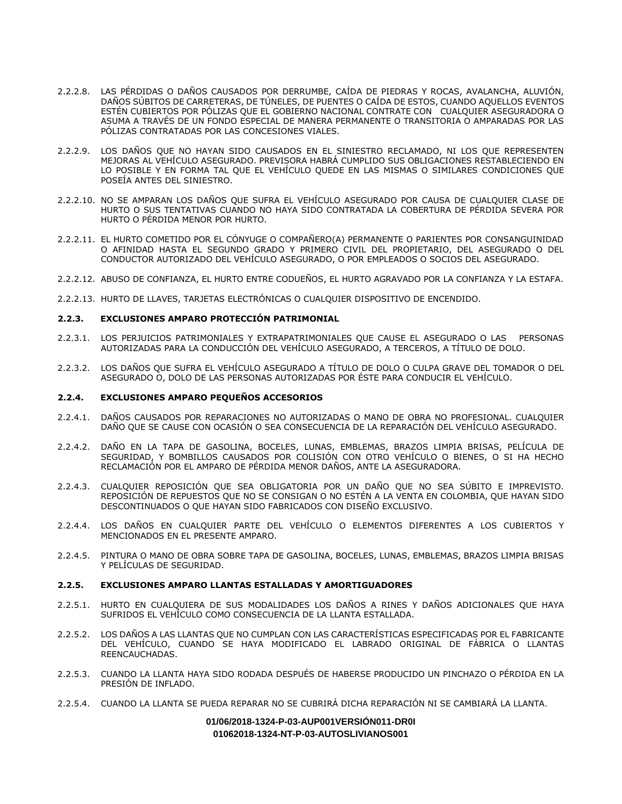- 2.2.2.8. LAS PÉRDIDAS O DAÑOS CAUSADOS POR DERRUMBE, CAÍDA DE PIEDRAS Y ROCAS, AVALANCHA, ALUVIÓN, DAÑOS SÚBITOS DE CARRETERAS, DE TÚNELES, DE PUENTES O CAÍDA DE ESTOS, CUANDO AQUELLOS EVENTOS ESTÉN CUBIERTOS POR PÓLIZAS QUE EL GOBIERNO NACIONAL CONTRATE CON CUALQUIER ASEGURADORA O ASUMA A TRAVÉS DE UN FONDO ESPECIAL DE MANERA PERMANENTE O TRANSITORIA O AMPARADAS POR LAS PÓLIZAS CONTRATADAS POR LAS CONCESIONES VIALES.
- 2.2.2.9. LOS DAÑOS QUE NO HAYAN SIDO CAUSADOS EN EL SINIESTRO RECLAMADO, NI LOS QUE REPRESENTEN MEJORAS AL VEHÍCULO ASEGURADO. PREVISORA HABRÁ CUMPLIDO SUS OBLIGACIONES RESTABLECIENDO EN LO POSIBLE Y EN FORMA TAL QUE EL VEHÍCULO QUEDE EN LAS MISMAS O SIMILARES CONDICIONES QUE POSEÍA ANTES DEL SINIESTRO.
- 2.2.2.10. NO SE AMPARAN LOS DAÑOS QUE SUFRA EL VEHÍCULO ASEGURADO POR CAUSA DE CUALQUIER CLASE DE HURTO O SUS TENTATIVAS CUANDO NO HAYA SIDO CONTRATADA LA COBERTURA DE PÉRDIDA SEVERA POR HURTO O PÉRDIDA MENOR POR HURTO.
- 2.2.2.11. EL HURTO COMETIDO POR EL CÓNYUGE O COMPAÑERO(A) PERMANENTE O PARIENTES POR CONSANGUINIDAD O AFINIDAD HASTA EL SEGUNDO GRADO Y PRIMERO CIVIL DEL PROPIETARIO, DEL ASEGURADO O DEL CONDUCTOR AUTORIZADO DEL VEHÍCULO ASEGURADO, O POR EMPLEADOS O SOCIOS DEL ASEGURADO.
- 2.2.2.12. ABUSO DE CONFIANZA, EL HURTO ENTRE CODUEÑOS, EL HURTO AGRAVADO POR LA CONFIANZA Y LA ESTAFA.
- 2.2.2.13. HURTO DE LLAVES, TARJETAS ELECTRÓNICAS O CUALQUIER DISPOSITIVO DE ENCENDIDO.

## **2.2.3. EXCLUSIONES AMPARO PROTECCIÓN PATRIMONIAL**

- 2.2.3.1. LOS PERJUICIOS PATRIMONIALES Y EXTRAPATRIMONIALES QUE CAUSE EL ASEGURADO O LAS PERSONAS AUTORIZADAS PARA LA CONDUCCIÓN DEL VEHÍCULO ASEGURADO, A TERCEROS, A TÍTULO DE DOLO.
- 2.2.3.2. LOS DAÑOS QUE SUFRA EL VEHÍCULO ASEGURADO A TÍTULO DE DOLO O CULPA GRAVE DEL TOMADOR O DEL ASEGURADO O, DOLO DE LAS PERSONAS AUTORIZADAS POR ÉSTE PARA CONDUCIR EL VEHÍCULO.

## **2.2.4. EXCLUSIONES AMPARO PEQUEÑOS ACCESORIOS**

- 2.2.4.1. DAÑOS CAUSADOS POR REPARACIONES NO AUTORIZADAS O MANO DE OBRA NO PROFESIONAL. CUALQUIER DAÑO QUE SE CAUSE CON OCASIÓN O SEA CONSECUENCIA DE LA REPARACIÓN DEL VEHÍCULO ASEGURADO.
- 2.2.4.2. DAÑO EN LA TAPA DE GASOLINA, BOCELES, LUNAS, EMBLEMAS, BRAZOS LIMPIA BRISAS, PELÍCULA DE SEGURIDAD, Y BOMBILLOS CAUSADOS POR COLISIÓN CON OTRO VEHÍCULO O BIENES, O SI HA HECHO RECLAMACIÓN POR EL AMPARO DE PÉRDIDA MENOR DAÑOS, ANTE LA ASEGURADORA.
- 2.2.4.3. CUALQUIER REPOSICIÓN QUE SEA OBLIGATORIA POR UN DAÑO QUE NO SEA SÚBITO E IMPREVISTO. REPOSICIÓN DE REPUESTOS QUE NO SE CONSIGAN O NO ESTÉN A LA VENTA EN COLOMBIA, QUE HAYAN SIDO DESCONTINUADOS O QUE HAYAN SIDO FABRICADOS CON DISEÑO EXCLUSIVO.
- 2.2.4.4. LOS DAÑOS EN CUALQUIER PARTE DEL VEHÍCULO O ELEMENTOS DIFERENTES A LOS CUBIERTOS Y MENCIONADOS EN EL PRESENTE AMPARO.
- 2.2.4.5. PINTURA O MANO DE OBRA SOBRE TAPA DE GASOLINA, BOCELES, LUNAS, EMBLEMAS, BRAZOS LIMPIA BRISAS Y PELÍCULAS DE SEGURIDAD.

# **2.2.5. EXCLUSIONES AMPARO LLANTAS ESTALLADAS Y AMORTIGUADORES**

- 2.2.5.1. HURTO EN CUALQUIERA DE SUS MODALIDADES LOS DAÑOS A RINES Y DAÑOS ADICIONALES QUE HAYA SUFRIDOS EL VEHÍCULO COMO CONSECUENCIA DE LA LLANTA ESTALLADA.
- 2.2.5.2. LOS DAÑOS A LAS LLANTAS QUE NO CUMPLAN CON LAS CARACTERÍSTICAS ESPECIFICADAS POR EL FABRICANTE DEL VEHÍCULO, CUANDO SE HAYA MODIFICADO EL LABRADO ORIGINAL DE FÁBRICA O LLANTAS REENCAUCHADAS.
- 2.2.5.3. CUANDO LA LLANTA HAYA SIDO RODADA DESPUÉS DE HABERSE PRODUCIDO UN PINCHAZO O PÉRDIDA EN LA PRESIÓN DE INFLADO.
- 2.2.5.4. CUANDO LA LLANTA SE PUEDA REPARAR NO SE CUBRIRÁ DICHA REPARACIÓN NI SE CAMBIARÁ LA LLANTA.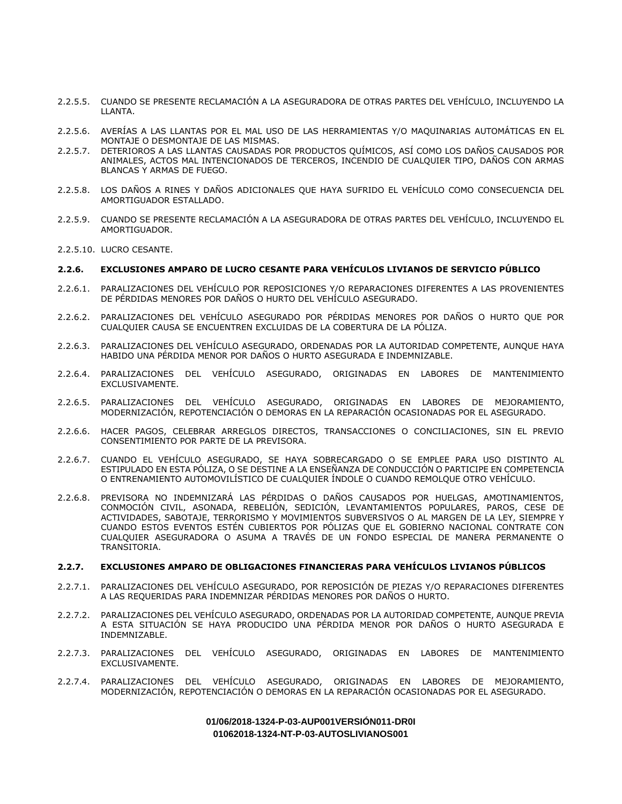- 2.2.5.5. CUANDO SE PRESENTE RECLAMACIÓN A LA ASEGURADORA DE OTRAS PARTES DEL VEHÍCULO, INCLUYENDO LA LLANTA.
- 2.2.5.6. AVERÍAS A LAS LLANTAS POR EL MAL USO DE LAS HERRAMIENTAS Y/O MAQUINARIAS AUTOMÁTICAS EN EL MONTAJE O DESMONTAJE DE LAS MISMAS.
- 2.2.5.7. DETERIOROS A LAS LLANTAS CAUSADAS POR PRODUCTOS QUÍMICOS, ASÍ COMO LOS DAÑOS CAUSADOS POR ANIMALES, ACTOS MAL INTENCIONADOS DE TERCEROS, INCENDIO DE CUALQUIER TIPO, DAÑOS CON ARMAS BLANCAS Y ARMAS DE FUEGO.
- 2.2.5.8. LOS DAÑOS A RINES Y DAÑOS ADICIONALES QUE HAYA SUFRIDO EL VEHÍCULO COMO CONSECUENCIA DEL AMORTIGUADOR ESTALLADO.
- 2.2.5.9. CUANDO SE PRESENTE RECLAMACIÓN A LA ASEGURADORA DE OTRAS PARTES DEL VEHÍCULO, INCLUYENDO EL AMORTIGUADOR.
- 2.2.5.10. LUCRO CESANTE.

# **2.2.6. EXCLUSIONES AMPARO DE LUCRO CESANTE PARA VEHÍCULOS LIVIANOS DE SERVICIO PÚBLICO**

- 2.2.6.1. PARALIZACIONES DEL VEHÍCULO POR REPOSICIONES Y/O REPARACIONES DIFERENTES A LAS PROVENIENTES DE PÉRDIDAS MENORES POR DAÑOS O HURTO DEL VEHÍCULO ASEGURADO.
- 2.2.6.2. PARALIZACIONES DEL VEHÍCULO ASEGURADO POR PÉRDIDAS MENORES POR DAÑOS O HURTO QUE POR CUALQUIER CAUSA SE ENCUENTREN EXCLUIDAS DE LA COBERTURA DE LA PÓLIZA.
- 2.2.6.3. PARALIZACIONES DEL VEHÍCULO ASEGURADO, ORDENADAS POR LA AUTORIDAD COMPETENTE, AUNQUE HAYA HABIDO UNA PÉRDIDA MENOR POR DAÑOS O HURTO ASEGURADA E INDEMNIZABLE.
- 2.2.6.4. PARALIZACIONES DEL VEHÍCULO ASEGURADO, ORIGINADAS EN LABORES DE MANTENIMIENTO EXCLUSIVAMENTE.
- 2.2.6.5. PARALIZACIONES DEL VEHÍCULO ASEGURADO, ORIGINADAS EN LABORES DE MEJORAMIENTO, MODERNIZACIÓN, REPOTENCIACIÓN O DEMORAS EN LA REPARACIÓN OCASIONADAS POR EL ASEGURADO.
- 2.2.6.6. HACER PAGOS, CELEBRAR ARREGLOS DIRECTOS, TRANSACCIONES O CONCILIACIONES, SIN EL PREVIO CONSENTIMIENTO POR PARTE DE LA PREVISORA.
- 2.2.6.7. CUANDO EL VEHÍCULO ASEGURADO, SE HAYA SOBRECARGADO O SE EMPLEE PARA USO DISTINTO AL ESTIPULADO EN ESTA PÓLIZA, O SE DESTINE A LA ENSEÑANZA DE CONDUCCIÓN O PARTICIPE EN COMPETENCIA O ENTRENAMIENTO AUTOMOVILÍSTICO DE CUALQUIER ÍNDOLE O CUANDO REMOLQUE OTRO VEHÍCULO.
- 2.2.6.8. PREVISORA NO INDEMNIZARÁ LAS PÉRDIDAS O DAÑOS CAUSADOS POR HUELGAS, AMOTINAMIENTOS, CONMOCIÓN CIVIL, ASONADA, REBELIÓN, SEDICIÓN, LEVANTAMIENTOS POPULARES, PAROS, CESE DE ACTIVIDADES, SABOTAJE, TERRORISMO Y MOVIMIENTOS SUBVERSIVOS O AL MARGEN DE LA LEY, SIEMPRE Y CUANDO ESTOS EVENTOS ESTÉN CUBIERTOS POR PÓLIZAS QUE EL GOBIERNO NACIONAL CONTRATE CON CUALQUIER ASEGURADORA O ASUMA A TRAVÉS DE UN FONDO ESPECIAL DE MANERA PERMANENTE O TRANSITORIA.

# **2.2.7. EXCLUSIONES AMPARO DE OBLIGACIONES FINANCIERAS PARA VEHÍCULOS LIVIANOS PÚBLICOS**

- 2.2.7.1. PARALIZACIONES DEL VEHÍCULO ASEGURADO, POR REPOSICIÓN DE PIEZAS Y/O REPARACIONES DIFERENTES A LAS REQUERIDAS PARA INDEMNIZAR PÉRDIDAS MENORES POR DAÑOS O HURTO.
- 2.2.7.2. PARALIZACIONES DEL VEHÍCULO ASEGURADO, ORDENADAS POR LA AUTORIDAD COMPETENTE, AUNQUE PREVIA A ESTA SITUACIÓN SE HAYA PRODUCIDO UNA PÉRDIDA MENOR POR DAÑOS O HURTO ASEGURADA E INDEMNIZABLE.
- 2.2.7.3. PARALIZACIONES DEL VEHÍCULO ASEGURADO, ORIGINADAS EN LABORES DE MANTENIMIENTO EXCLUSIVAMENTE.
- 2.2.7.4. PARALIZACIONES DEL VEHÍCULO ASEGURADO, ORIGINADAS EN LABORES DE MEJORAMIENTO, MODERNIZACIÓN, REPOTENCIACIÓN O DEMORAS EN LA REPARACIÓN OCASIONADAS POR EL ASEGURADO.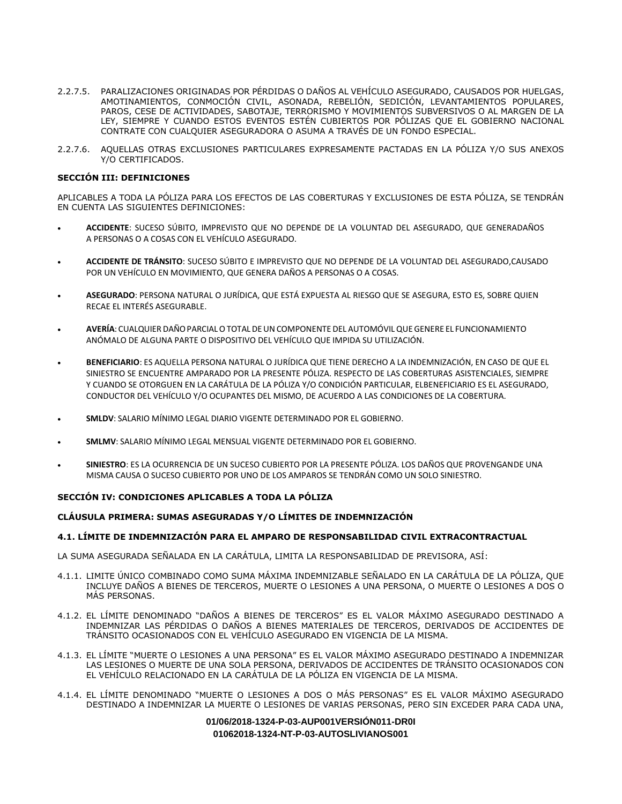- 2.2.7.5. PARALIZACIONES ORIGINADAS POR PÉRDIDAS O DAÑOS AL VEHÍCULO ASEGURADO, CAUSADOS POR HUELGAS, AMOTINAMIENTOS, CONMOCIÓN CIVIL, ASONADA, REBELIÓN, SEDICIÓN, LEVANTAMIENTOS POPULARES, PAROS, CESE DE ACTIVIDADES, SABOTAJE, TERRORISMO Y MOVIMIENTOS SUBVERSIVOS O AL MARGEN DE LA LEY, SIEMPRE Y CUANDO ESTOS EVENTOS ESTÉN CUBIERTOS POR PÓLIZAS QUE EL GOBIERNO NACIONAL CONTRATE CON CUALQUIER ASEGURADORA O ASUMA A TRAVÉS DE UN FONDO ESPECIAL.
- 2.2.7.6. AQUELLAS OTRAS EXCLUSIONES PARTICULARES EXPRESAMENTE PACTADAS EN LA PÓLIZA Y/O SUS ANEXOS Y/O CERTIFICADOS.

# **SECCIÓN III: DEFINICIONES**

APLICABLES A TODA LA PÓLIZA PARA LOS EFECTOS DE LAS COBERTURAS Y EXCLUSIONES DE ESTA PÓLIZA, SE TENDRÁN EN CUENTA LAS SIGUIENTES DEFINICIONES:

- **ACCIDENTE**: SUCESO SÚBITO, IMPREVISTO QUE NO DEPENDE DE LA VOLUNTAD DEL ASEGURADO, QUE GENERADAÑOS A PERSONAS O A COSAS CON EL VEHÍCULO ASEGURADO.
- **ACCIDENTE DE TRÁNSITO**: SUCESO SÚBITO E IMPREVISTO QUE NO DEPENDE DE LA VOLUNTAD DEL ASEGURADO,CAUSADO POR UN VEHÍCULO EN MOVIMIENTO, QUE GENERA DAÑOS A PERSONAS O A COSAS.
- **ASEGURADO**: PERSONA NATURAL O JURÍDICA, QUE ESTÁ EXPUESTA AL RIESGO QUE SE ASEGURA, ESTO ES, SOBRE QUIEN RECAE EL INTERÉS ASEGURABLE.
- **AVERÍA**: CUALQUIER DAÑOPARCIALOTOTAL DEUNCOMPONENTE DEL AUTOMÓVIL QUEGENERE EL FUNCIONAMIENTO ANÓMALO DE ALGUNA PARTE O DISPOSITIVO DEL VEHÍCULO QUE IMPIDA SU UTILIZACIÓN.
- **BENEFICIARIO**: ES AQUELLA PERSONA NATURAL O JURÍDICA QUE TIENE DERECHO A LA INDEMNIZACIÓN, EN CASO DE QUE EL SINIESTRO SE ENCUENTRE AMPARADO POR LA PRESENTE PÓLIZA. RESPECTO DE LAS COBERTURAS ASISTENCIALES, SIEMPRE Y CUANDO SE OTORGUEN EN LA CARÁTULA DE LA PÓLIZA Y/O CONDICIÓN PARTICULAR, ELBENEFICIARIO ES EL ASEGURADO, CONDUCTOR DEL VEHÍCULO Y/O OCUPANTES DEL MISMO, DE ACUERDO A LAS CONDICIONES DE LA COBERTURA.
- **SMLDV**: SALARIO MÍNIMO LEGAL DIARIO VIGENTE DETERMINADO POR EL GOBIERNO.
- **SMLMV**: SALARIO MÍNIMO LEGAL MENSUAL VIGENTE DETERMINADO POR EL GOBIERNO.
- **SINIESTRO**: ES LA OCURRENCIA DE UN SUCESO CUBIERTO POR LA PRESENTE PÓLIZA. LOS DAÑOS QUE PROVENGANDE UNA MISMA CAUSA O SUCESO CUBIERTO POR UNO DE LOS AMPAROS SE TENDRÁN COMO UN SOLO SINIESTRO.

## **SECCIÓN IV: CONDICIONES APLICABLES A TODA LA PÓLIZA**

## **CLÁUSULA PRIMERA: SUMAS ASEGURADAS Y/O LÍMITES DE INDEMNIZACIÓN**

## **4.1. LÍMITE DE INDEMNIZACIÓN PARA EL AMPARO DE RESPONSABILIDAD CIVIL EXTRACONTRACTUAL**

LA SUMA ASEGURADA SEÑALADA EN LA CARÁTULA, LIMITA LA RESPONSABILIDAD DE PREVISORA, ASÍ:

- 4.1.1. LIMITE ÚNICO COMBINADO COMO SUMA MÁXIMA INDEMNIZABLE SEÑALADO EN LA CARÁTULA DE LA PÓLIZA, QUE INCLUYE DAÑOS A BIENES DE TERCEROS, MUERTE O LESIONES A UNA PERSONA, O MUERTE O LESIONES A DOS O MÁS PERSONAS.
- 4.1.2. EL LÍMITE DENOMINADO "DAÑOS A BIENES DE TERCEROS" ES EL VALOR MÁXIMO ASEGURADO DESTINADO A INDEMNIZAR LAS PÉRDIDAS O DAÑOS A BIENES MATERIALES DE TERCEROS, DERIVADOS DE ACCIDENTES DE TRÁNSITO OCASIONADOS CON EL VEHÍCULO ASEGURADO EN VIGENCIA DE LA MISMA.
- 4.1.3. EL LÍMITE "MUERTE O LESIONES A UNA PERSONA" ES EL VALOR MÁXIMO ASEGURADO DESTINADO A INDEMNIZAR LAS LESIONES O MUERTE DE UNA SOLA PERSONA, DERIVADOS DE ACCIDENTES DE TRÁNSITO OCASIONADOS CON EL VEHÍCULO RELACIONADO EN LA CARÁTULA DE LA PÓLIZA EN VIGENCIA DE LA MISMA.
- 4.1.4. EL LÍMITE DENOMINADO "MUERTE O LESIONES A DOS O MÁS PERSONAS" ES EL VALOR MÁXIMO ASEGURADO DESTINADO A INDEMNIZAR LA MUERTE O LESIONES DE VARIAS PERSONAS, PERO SIN EXCEDER PARA CADA UNA,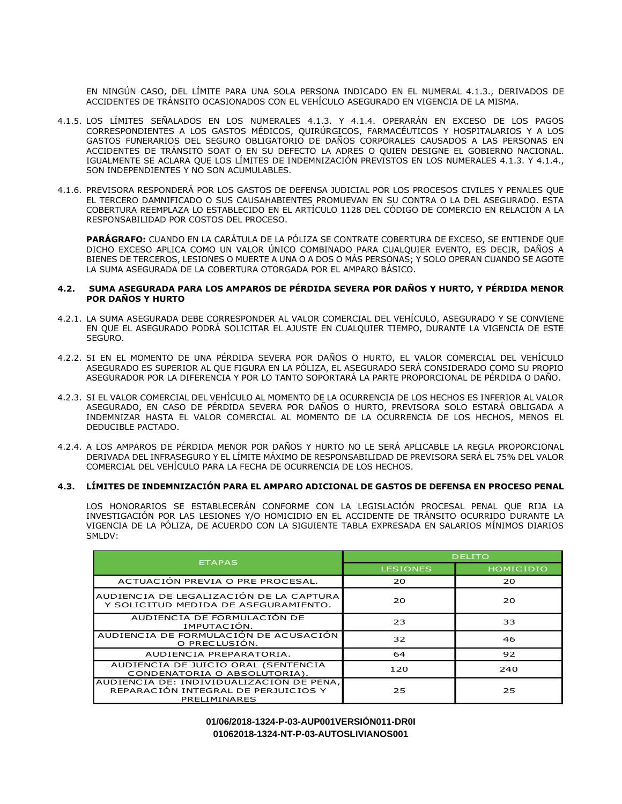EN NINGÚN CASO, DEL LÍMITE PARA UNA SOLA PERSONA INDICADO EN EL NUMERAL 4.1.3., DERIVADOS DE ACCIDENTES DE TRÁNSITO OCASIONADOS CON EL VEHÍCULO ASEGURADO EN VIGENCIA DE LA MISMA.

- 4.1.5. LOS LÍMITES SEÑALADOS EN LOS NUMERALES 4.1.3. Y 4.1.4. OPERARÁN EN EXCESO DE LOS PAGOS CORRESPONDIENTES A LOS GASTOS MÉDICOS, QUIRÚRGICOS, FARMACÉUTICOS Y HOSPITALARIOS Y A LOS GASTOS FUNERARIOS DEL SEGURO OBLIGATORIO DE DAÑOS CORPORALES CAUSADOS A LAS PERSONAS EN ACCIDENTES DE TRÁNSITO SOAT O EN SU DEFECTO LA ADRES O QUIEN DESIGNE EL GOBIERNO NACIONAL. IGUALMENTE SE ACLARA QUE LOS LÍMITES DE INDEMNIZACIÓN PREVISTOS EN LOS NUMERALES 4.1.3. Y 4.1.4., SON INDEPENDIENTES Y NO SON ACUMULABLES.
- 4.1.6. PREVISORA RESPONDERÁ POR LOS GASTOS DE DEFENSA JUDICIAL POR LOS PROCESOS CIVILES Y PENALES QUE EL TERCERO DAMNIFICADO O SUS CAUSAHABIENTES PROMUEVAN EN SU CONTRA O LA DEL ASEGURADO. ESTA COBERTURA REEMPLAZA LO ESTABLECIDO EN EL ARTÍCULO 1128 DEL CÓDIGO DE COMERCIO EN RELACIÓN A LA RESPONSABILIDAD POR COSTOS DEL PROCESO.

**PARÁGRAFO:** CUANDO EN LA CARÁTULA DE LA PÓLIZA SE CONTRATE COBERTURA DE EXCESO, SE ENTIENDE QUE DICHO EXCESO APLICA COMO UN VALOR ÚNICO COMBINADO PARA CUALQUIER EVENTO, ES DECIR, DAÑOS A BIENES DE TERCEROS, LESIONES O MUERTE A UNA O A DOS O MÁS PERSONAS; Y SOLO OPERAN CUANDO SE AGOTE LA SUMA ASEGURADA DE LA COBERTURA OTORGADA POR EL AMPARO BÁSICO.

#### **4.2. SUMA ASEGURADA PARA LOS AMPAROS DE PÉRDIDA SEVERA POR DAÑOS Y HURTO, Y PÉRDIDA MENOR POR DAÑOS Y HURTO**

- 4.2.1. LA SUMA ASEGURADA DEBE CORRESPONDER AL VALOR COMERCIAL DEL VEHÍCULO, ASEGURADO Y SE CONVIENE EN QUE EL ASEGURADO PODRÁ SOLICITAR EL AJUSTE EN CUALQUIER TIEMPO, DURANTE LA VIGENCIA DE ESTE SEGURO.
- 4.2.2. SI EN EL MOMENTO DE UNA PÉRDIDA SEVERA POR DAÑOS O HURTO, EL VALOR COMERCIAL DEL VEHÍCULO ASEGURADO ES SUPERIOR AL QUE FIGURA EN LA PÓLIZA, EL ASEGURADO SERÁ CONSIDERADO COMO SU PROPIO ASEGURADOR POR LA DIFERENCIA Y POR LO TANTO SOPORTARÁ LA PARTE PROPORCIONAL DE PÉRDIDA O DAÑO.
- 4.2.3. SI EL VALOR COMERCIAL DEL VEHÍCULO AL MOMENTO DE LA OCURRENCIA DE LOS HECHOS ES INFERIOR AL VALOR ASEGURADO, EN CASO DE PÉRDIDA SEVERA POR DAÑOS O HURTO, PREVISORA SOLO ESTARÁ OBLIGADA A INDEMNIZAR HASTA EL VALOR COMERCIAL AL MOMENTO DE LA OCURRENCIA DE LOS HECHOS, MENOS EL DEDUCIBLE PACTADO.
- 4.2.4. A LOS AMPAROS DE PÉRDIDA MENOR POR DAÑOS Y HURTO NO LE SERÁ APLICABLE LA REGLA PROPORCIONAL DERIVADA DEL INFRASEGURO Y EL LÍMITE MÁXIMO DE RESPONSABILIDAD DE PREVISORA SERÁ EL 75% DEL VALOR COMERCIAL DEL VEHÍCULO PARA LA FECHA DE OCURRENCIA DE LOS HECHOS.

# **4.3. LÍMITES DE INDEMNIZACIÓN PARA EL AMPARO ADICIONAL DE GASTOS DE DEFENSA EN PROCESO PENAL**

LOS HONORARIOS SE ESTABLECERÁN CONFORME CON LA LEGISLACIÓN PROCESAL PENAL QUE RIJA LA INVESTIGACIÓN POR LAS LESIONES Y/O HOMICIDIO EN EL ACCIDENTE DE TRÁNSITO OCURRIDO DURANTE LA VIGENCIA DE LA PÓLIZA, DE ACUERDO CON LA SIGUIENTE TABLA EXPRESADA EN SALARIOS MÍNIMOS DIARIOS SMLDV:

| <b>ETAPAS</b>                                                                                   | <b>DELITO</b>   |                  |
|-------------------------------------------------------------------------------------------------|-----------------|------------------|
|                                                                                                 | <b>LESIONES</b> | <b>HOMICIDIO</b> |
| ACTUACIÓN PREVIA O PRE PROCESAL.                                                                | 20              | 20               |
| AUDIENCIA DE LEGALIZACIÓN DE LA CAPTURA<br>Y SOLICITUD MEDIDA DE ASEGURAMIENTO.                 | 20              | 20               |
| AUDIENCIA DE FORMULACIÓN DE<br>IMPUTACIÓN.                                                      | 23              | 33               |
| AUDIENCIA DE FORMULACIÓN DE ACUSACIÓN<br>O PRECLUSIÓN.                                          | 32              | 46               |
| AUDIENCIA PREPARATORIA.                                                                         | 64              | 92               |
| AUDIENCIA DE JUICIO ORAL (SENTENCIA<br>CONDENATORIA O ABSOLUTORIA).                             | 120             | 240              |
| AUDIENCIA DE: INDIVIDUALIZACIÓN DE PENA,<br>REPARACIÓN INTEGRAL DE PERJUICIOS Y<br>PRELIMINARES | 25              | 25               |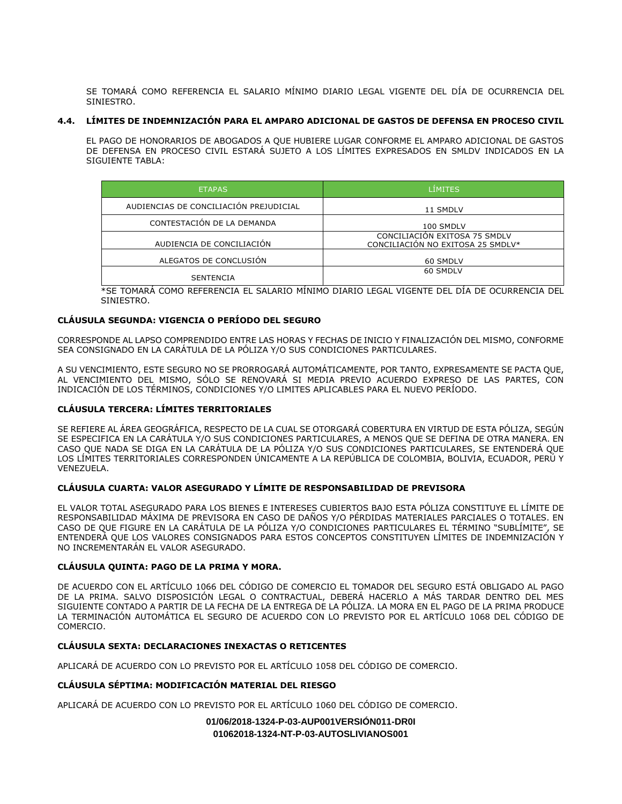SE TOMARÁ COMO REFERENCIA EL SALARIO MÍNIMO DIARIO LEGAL VIGENTE DEL DÍA DE OCURRENCIA DEL **SINIESTRO.** 

# **4.4. LÍMITES DE INDEMNIZACIÓN PARA EL AMPARO ADICIONAL DE GASTOS DE DEFENSA EN PROCESO CIVIL**

EL PAGO DE HONORARIOS DE ABOGADOS A QUE HUBIERE LUGAR CONFORME EL AMPARO ADICIONAL DE GASTOS DE DEFENSA EN PROCESO CIVIL ESTARÁ SUJETO A LOS LÍMITES EXPRESADOS EN SMLDV INDICADOS EN LA SIGUIENTE TABLA:

| <b>ETAPAS</b>                          | <b>LÍMITES</b>                                                     |  |
|----------------------------------------|--------------------------------------------------------------------|--|
| AUDIENCIAS DE CONCILIACIÓN PREJUDICIAL | 11 SMDLV                                                           |  |
| CONTESTACIÓN DE LA DEMANDA             | 100 SMDLV                                                          |  |
| AUDIENCIA DE CONCILIACIÓN              | CONCILIACIÓN EXITOSA 75 SMDLV<br>CONCILIACIÓN NO EXITOSA 25 SMDLV* |  |
| ALEGATOS DE CONCLUSIÓN                 | 60 SMDLV                                                           |  |
| <b>SENTENCIA</b>                       | 60 SMDLV                                                           |  |

\*SE TOMARÁ COMO REFERENCIA EL SALARIO MÍNIMO DIARIO LEGAL VIGENTE DEL DÍA DE OCURRENCIA DEL SINIESTRO.

## **CLÁUSULA SEGUNDA: VIGENCIA O PERÍODO DEL SEGURO**

CORRESPONDE AL LAPSO COMPRENDIDO ENTRE LAS HORAS Y FECHAS DE INICIO Y FINALIZACIÓN DEL MISMO, CONFORME SEA CONSIGNADO EN LA CARÁTULA DE LA PÓLIZA Y/O SUS CONDICIONES PARTICULARES.

A SU VENCIMIENTO, ESTE SEGURO NO SE PRORROGARÁ AUTOMÁTICAMENTE, POR TANTO, EXPRESAMENTE SE PACTA QUE, AL VENCIMIENTO DEL MISMO, SÓLO SE RENOVARÁ SI MEDIA PREVIO ACUERDO EXPRESO DE LAS PARTES, CON INDICACIÓN DE LOS TÉRMINOS, CONDICIONES Y/O LIMITES APLICABLES PARA EL NUEVO PERÍODO.

## **CLÁUSULA TERCERA: LÍMITES TERRITORIALES**

SE REFIERE AL ÁREA GEOGRÁFICA, RESPECTO DE LA CUAL SE OTORGARÁ COBERTURA EN VIRTUD DE ESTA PÓLIZA, SEGÚN SE ESPECIFICA EN LA CARÁTULA Y/O SUS CONDICIONES PARTICULARES, A MENOS QUE SE DEFINA DE OTRA MANERA. EN CASO QUE NADA SE DIGA EN LA CARÁTULA DE LA PÓLIZA Y/O SUS CONDICIONES PARTICULARES, SE ENTENDERÁ QUE LOS LÍMITES TERRITORIALES CORRESPONDEN ÚNICAMENTE A LA REPÚBLICA DE COLOMBIA, BOLIVIA, ECUADOR, PERÚ Y VENEZUELA.

## **CLÁUSULA CUARTA: VALOR ASEGURADO Y LÍMITE DE RESPONSABILIDAD DE PREVISORA**

EL VALOR TOTAL ASEGURADO PARA LOS BIENES E INTERESES CUBIERTOS BAJO ESTA PÓLIZA CONSTITUYE EL LÍMITE DE RESPONSABILIDAD MÁXIMA DE PREVISORA EN CASO DE DAÑOS Y/O PÉRDIDAS MATERIALES PARCIALES O TOTALES. EN CASO DE QUE FIGURE EN LA CARÁTULA DE LA PÓLIZA Y/O CONDICIONES PARTICULARES EL TÉRMINO "SUBLÍMITE", SE ENTENDERÁ QUE LOS VALORES CONSIGNADOS PARA ESTOS CONCEPTOS CONSTITUYEN LÍMITES DE INDEMNIZACIÓN Y NO INCREMENTARÁN EL VALOR ASEGURADO.

## **CLÁUSULA QUINTA: PAGO DE LA PRIMA Y MORA.**

DE ACUERDO CON EL ARTÍCULO 1066 DEL CÓDIGO DE COMERCIO EL TOMADOR DEL SEGURO ESTÁ OBLIGADO AL PAGO DE LA PRIMA. SALVO DISPOSICIÓN LEGAL O CONTRACTUAL, DEBERÁ HACERLO A MÁS TARDAR DENTRO DEL MES SIGUIENTE CONTADO A PARTIR DE LA FECHA DE LA ENTREGA DE LA PÓLIZA. LA MORA EN EL PAGO DE LA PRIMA PRODUCE LA TERMINACIÓN AUTOMÁTICA EL SEGURO DE ACUERDO CON LO PREVISTO POR EL ARTÍCULO 1068 DEL CÓDIGO DE COMERCIO.

# **CLÁUSULA SEXTA: DECLARACIONES INEXACTAS O RETICENTES**

APLICARÁ DE ACUERDO CON LO PREVISTO POR EL ARTÍCULO 1058 DEL CÓDIGO DE COMERCIO.

## **CLÁUSULA SÉPTIMA: MODIFICACIÓN MATERIAL DEL RIESGO**

APLICARÁ DE ACUERDO CON LO PREVISTO POR EL ARTÍCULO 1060 DEL CÓDIGO DE COMERCIO.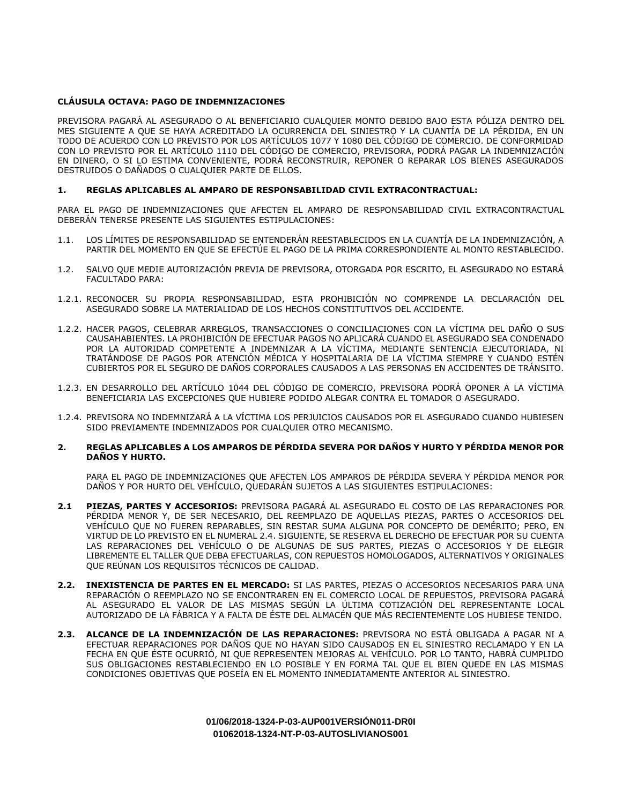# **CLÁUSULA OCTAVA: PAGO DE INDEMNIZACIONES**

PREVISORA PAGARÁ AL ASEGURADO O AL BENEFICIARIO CUALQUIER MONTO DEBIDO BAJO ESTA PÓLIZA DENTRO DEL MES SIGUIENTE A QUE SE HAYA ACREDITADO LA OCURRENCIA DEL SINIESTRO Y LA CUANTÍA DE LA PÉRDIDA, EN UN TODO DE ACUERDO CON LO PREVISTO POR LOS ARTÍCULOS 1077 Y 1080 DEL CÓDIGO DE COMERCIO. DE CONFORMIDAD CON LO PREVISTO POR EL ARTÍCULO 1110 DEL CÓDIGO DE COMERCIO, PREVISORA, PODRÁ PAGAR LA INDEMNIZACIÓN EN DINERO, O SI LO ESTIMA CONVENIENTE, PODRÁ RECONSTRUIR, REPONER O REPARAR LOS BIENES ASEGURADOS DESTRUIDOS O DAÑADOS O CUALQUIER PARTE DE ELLOS.

## **1. REGLAS APLICABLES AL AMPARO DE RESPONSABILIDAD CIVIL EXTRACONTRACTUAL:**

PARA EL PAGO DE INDEMNIZACIONES QUE AFECTEN EL AMPARO DE RESPONSABILIDAD CIVIL EXTRACONTRACTUAL DEBERÁN TENERSE PRESENTE LAS SIGUIENTES ESTIPULACIONES:

- 1.1. LOS LÍMITES DE RESPONSABILIDAD SE ENTENDERÁN REESTABLECIDOS EN LA CUANTÍA DE LA INDEMNIZACIÓN, A PARTIR DEL MOMENTO EN QUE SE EFECTÚE EL PAGO DE LA PRIMA CORRESPONDIENTE AL MONTO RESTABLECIDO.
- 1.2. SALVO QUE MEDIE AUTORIZACIÓN PREVIA DE PREVISORA, OTORGADA POR ESCRITO, EL ASEGURADO NO ESTARÁ FACULTADO PARA:
- 1.2.1. RECONOCER SU PROPIA RESPONSABILIDAD, ESTA PROHIBICIÓN NO COMPRENDE LA DECLARACIÓN DEL ASEGURADO SOBRE LA MATERIALIDAD DE LOS HECHOS CONSTITUTIVOS DEL ACCIDENTE.
- 1.2.2. HACER PAGOS, CELEBRAR ARREGLOS, TRANSACCIONES O CONCILIACIONES CON LA VÍCTIMA DEL DAÑO O SUS CAUSAHABIENTES. LA PROHIBICIÓN DE EFECTUAR PAGOS NO APLICARÁ CUANDO EL ASEGURADO SEA CONDENADO POR LA AUTORIDAD COMPETENTE A INDEMNIZAR A LA VÍCTIMA, MEDIANTE SENTENCIA EJECUTORIADA, NI TRATÁNDOSE DE PAGOS POR ATENCIÓN MÉDICA Y HOSPITALARIA DE LA VÍCTIMA SIEMPRE Y CUANDO ESTÉN CUBIERTOS POR EL SEGURO DE DAÑOS CORPORALES CAUSADOS A LAS PERSONAS EN ACCIDENTES DE TRÁNSITO.
- 1.2.3. EN DESARROLLO DEL ARTÍCULO 1044 DEL CÓDIGO DE COMERCIO, PREVISORA PODRÁ OPONER A LA VÍCTIMA BENEFICIARIA LAS EXCEPCIONES QUE HUBIERE PODIDO ALEGAR CONTRA EL TOMADOR O ASEGURADO.
- 1.2.4. PREVISORA NO INDEMNIZARÁ A LA VÍCTIMA LOS PERJUICIOS CAUSADOS POR EL ASEGURADO CUANDO HUBIESEN SIDO PREVIAMENTE INDEMNIZADOS POR CUALQUIER OTRO MECANISMO.

# **2. REGLAS APLICABLES A LOS AMPAROS DE PÉRDIDA SEVERA POR DAÑOS Y HURTO Y PÉRDIDA MENOR POR DAÑOS Y HURTO.**

PARA EL PAGO DE INDEMNIZACIONES QUE AFECTEN LOS AMPAROS DE PÉRDIDA SEVERA Y PÉRDIDA MENOR POR DAÑOS Y POR HURTO DEL VEHÍCULO, QUEDARÁN SUJETOS A LAS SIGUIENTES ESTIPULACIONES:

- **2.1 PIEZAS, PARTES Y ACCESORIOS:** PREVISORA PAGARÁ AL ASEGURADO EL COSTO DE LAS REPARACIONES POR PÉRDIDA MENOR Y, DE SER NECESARIO, DEL REEMPLAZO DE AQUELLAS PIEZAS, PARTES O ACCESORIOS DEL VEHÍCULO QUE NO FUEREN REPARABLES, SIN RESTAR SUMA ALGUNA POR CONCEPTO DE DEMÉRITO; PERO, EN VIRTUD DE LO PREVISTO EN EL NUMERAL 2.4. SIGUIENTE, SE RESERVA EL DERECHO DE EFECTUAR POR SU CUENTA LAS REPARACIONES DEL VEHÍCULO O DE ALGUNAS DE SUS PARTES, PIEZAS O ACCESORIOS Y DE ELEGIR LIBREMENTE EL TALLER QUE DEBA EFECTUARLAS, CON REPUESTOS HOMOLOGADOS, ALTERNATIVOS Y ORIGINALES QUE REÚNAN LOS REQUISITOS TÉCNICOS DE CALIDAD.
- **2.2. INEXISTENCIA DE PARTES EN EL MERCADO:** SI LAS PARTES, PIEZAS O ACCESORIOS NECESARIOS PARA UNA REPARACIÓN O REEMPLAZO NO SE ENCONTRAREN EN EL COMERCIO LOCAL DE REPUESTOS, PREVISORA PAGARÁ AL ASEGURADO EL VALOR DE LAS MISMAS SEGÚN LA ÚLTIMA COTIZACIÓN DEL REPRESENTANTE LOCAL AUTORIZADO DE LA FÁBRICA Y A FALTA DE ÉSTE DEL ALMACÉN QUE MÁS RECIENTEMENTE LOS HUBIESE TENIDO.
- **2.3. ALCANCE DE LA INDEMNIZACIÓN DE LAS REPARACIONES:** PREVISORA NO ESTÁ OBLIGADA A PAGAR NI A EFECTUAR REPARACIONES POR DAÑOS QUE NO HAYAN SIDO CAUSADOS EN EL SINIESTRO RECLAMADO Y EN LA FECHA EN QUE ÉSTE OCURRIÓ, NI QUE REPRESENTEN MEJORAS AL VEHÍCULO. POR LO TANTO, HABRÁ CUMPLIDO SUS OBLIGACIONES RESTABLECIENDO EN LO POSIBLE Y EN FORMA TAL QUE EL BIEN QUEDE EN LAS MISMAS CONDICIONES OBJETIVAS QUE POSEÍA EN EL MOMENTO INMEDIATAMENTE ANTERIOR AL SINIESTRO.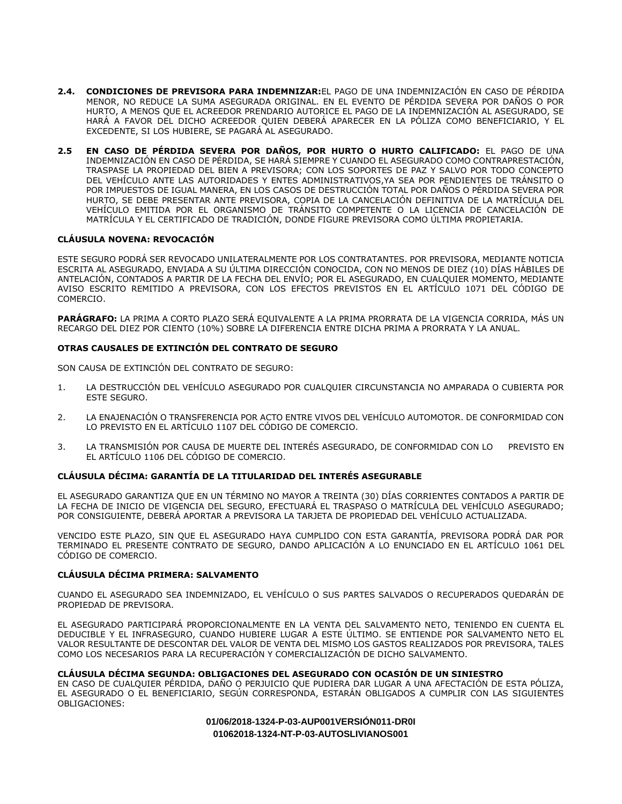- **2.4. CONDICIONES DE PREVISORA PARA INDEMNIZAR:**EL PAGO DE UNA INDEMNIZACIÓN EN CASO DE PÉRDIDA MENOR, NO REDUCE LA SUMA ASEGURADA ORIGINAL. EN EL EVENTO DE PÉRDIDA SEVERA POR DAÑOS O POR HURTO, A MENOS QUE EL ACREEDOR PRENDARIO AUTORICE EL PAGO DE LA INDEMNIZACIÓN AL ASEGURADO, SE HARÁ A FAVOR DEL DICHO ACREEDOR QUIEN DEBERÁ APARECER EN LA PÓLIZA COMO BENEFICIARIO, Y EL EXCEDENTE, SI LOS HUBIERE, SE PAGARÁ AL ASEGURADO.
- **2.5 EN CASO DE PÉRDIDA SEVERA POR DAÑOS, POR HURTO O HURTO CALIFICADO:** EL PAGO DE UNA INDEMNIZACIÓN EN CASO DE PÉRDIDA, SE HARÁ SIEMPRE Y CUANDO EL ASEGURADO COMO CONTRAPRESTACIÓN, TRASPASE LA PROPIEDAD DEL BIEN A PREVISORA; CON LOS SOPORTES DE PAZ Y SALVO POR TODO CONCEPTO DEL VEHÍCULO ANTE LAS AUTORIDADES Y ENTES ADMINISTRATIVOS,YA SEA POR PENDIENTES DE TRÁNSITO O POR IMPUESTOS DE IGUAL MANERA, EN LOS CASOS DE DESTRUCCIÓN TOTAL POR DAÑOS O PÉRDIDA SEVERA POR HURTO, SE DEBE PRESENTAR ANTE PREVISORA, COPIA DE LA CANCELACIÓN DEFINITIVA DE LA MATRÍCULA DEL VEHÍCULO EMITIDA POR EL ORGANISMO DE TRÁNSITO COMPETENTE O LA LICENCIA DE CANCELACIÓN DE MATRÍCULA Y EL CERTIFICADO DE TRADICIÓN, DONDE FIGURE PREVISORA COMO ÚLTIMA PROPIETARIA.

# **CLÁUSULA NOVENA: REVOCACIÓN**

ESTE SEGURO PODRÁ SER REVOCADO UNILATERALMENTE POR LOS CONTRATANTES. POR PREVISORA, MEDIANTE NOTICIA ESCRITA AL ASEGURADO, ENVIADA A SU ÚLTIMA DIRECCIÓN CONOCIDA, CON NO MENOS DE DIEZ (10) DÍAS HÁBILES DE ANTELACIÓN, CONTADOS A PARTIR DE LA FECHA DEL ENVÍO; POR EL ASEGURADO, EN CUALQUIER MOMENTO, MEDIANTE AVISO ESCRITO REMITIDO A PREVISORA, CON LOS EFECTOS PREVISTOS EN EL ARTÍCULO 1071 DEL CÓDIGO DE COMERCIO.

**PARÁGRAFO:** LA PRIMA A CORTO PLAZO SERÁ EQUIVALENTE A LA PRIMA PRORRATA DE LA VIGENCIA CORRIDA, MÁS UN RECARGO DEL DIEZ POR CIENTO (10%) SOBRE LA DIFERENCIA ENTRE DICHA PRIMA A PRORRATA Y LA ANUAL.

## **OTRAS CAUSALES DE EXTINCIÓN DEL CONTRATO DE SEGURO**

SON CAUSA DE EXTINCIÓN DEL CONTRATO DE SEGURO:

- 1. LA DESTRUCCIÓN DEL VEHÍCULO ASEGURADO POR CUALQUIER CIRCUNSTANCIA NO AMPARADA O CUBIERTA POR ESTE SEGURO.
- 2. LA ENAJENACIÓN O TRANSFERENCIA POR ACTO ENTRE VIVOS DEL VEHÍCULO AUTOMOTOR. DE CONFORMIDAD CON LO PREVISTO EN EL ARTÍCULO 1107 DEL CÓDIGO DE COMERCIO.
- 3. LA TRANSMISIÓN POR CAUSA DE MUERTE DEL INTERÉS ASEGURADO, DE CONFORMIDAD CON LO PREVISTO EN EL ARTÍCULO 1106 DEL CÓDIGO DE COMERCIO.

## **CLÁUSULA DÉCIMA: GARANTÍA DE LA TITULARIDAD DEL INTERÉS ASEGURABLE**

EL ASEGURADO GARANTIZA QUE EN UN TÉRMINO NO MAYOR A TREINTA (30) DÍAS CORRIENTES CONTADOS A PARTIR DE LA FECHA DE INICIO DE VIGENCIA DEL SEGURO, EFECTUARÁ EL TRASPASO O MATRÍCULA DEL VEHÍCULO ASEGURADO; POR CONSIGUIENTE, DEBERÁ APORTAR A PREVISORA LA TARJETA DE PROPIEDAD DEL VEHÍCULO ACTUALIZADA.

VENCIDO ESTE PLAZO, SIN QUE EL ASEGURADO HAYA CUMPLIDO CON ESTA GARANTÍA, PREVISORA PODRÁ DAR POR TERMINADO EL PRESENTE CONTRATO DE SEGURO, DANDO APLICACIÓN A LO ENUNCIADO EN EL ARTÍCULO 1061 DEL CÓDIGO DE COMERCIO.

## **CLÁUSULA DÉCIMA PRIMERA: SALVAMENTO**

CUANDO EL ASEGURADO SEA INDEMNIZADO, EL VEHÍCULO O SUS PARTES SALVADOS O RECUPERADOS QUEDARÁN DE PROPIEDAD DE PREVISORA.

EL ASEGURADO PARTICIPARÁ PROPORCIONALMENTE EN LA VENTA DEL SALVAMENTO NETO, TENIENDO EN CUENTA EL DEDUCIBLE Y EL INFRASEGURO, CUANDO HUBIERE LUGAR A ESTE ÚLTIMO. SE ENTIENDE POR SALVAMENTO NETO EL VALOR RESULTANTE DE DESCONTAR DEL VALOR DE VENTA DEL MISMO LOS GASTOS REALIZADOS POR PREVISORA, TALES COMO LOS NECESARIOS PARA LA RECUPERACIÓN Y COMERCIALIZACIÓN DE DICHO SALVAMENTO.

## **CLÁUSULA DÉCIMA SEGUNDA: OBLIGACIONES DEL ASEGURADO CON OCASIÓN DE UN SINIESTRO**

EN CASO DE CUALQUIER PÉRDIDA, DAÑO O PERJUICIO QUE PUDIERA DAR LUGAR A UNA AFECTACIÓN DE ESTA PÓLIZA, EL ASEGURADO O EL BENEFICIARIO, SEGÚN CORRESPONDA, ESTARÁN OBLIGADOS A CUMPLIR CON LAS SIGUIENTES OBLIGACIONES: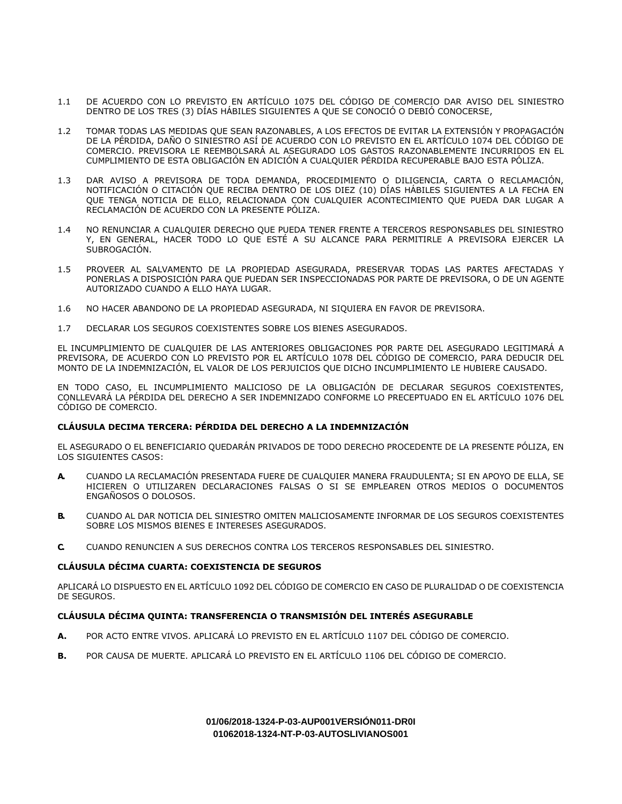- 1.1 DE ACUERDO CON LO PREVISTO EN ARTÍCULO 1075 DEL CÓDIGO DE COMERCIO DAR AVISO DEL SINIESTRO DENTRO DE LOS TRES (3) DÍAS HÁBILES SIGUIENTES A QUE SE CONOCIÓ O DEBIÓ CONOCERSE,
- 1.2 TOMAR TODAS LAS MEDIDAS QUE SEAN RAZONABLES, A LOS EFECTOS DE EVITAR LA EXTENSIÓN Y PROPAGACIÓN DE LA PÉRDIDA, DAÑO O SINIESTRO ASÍ DE ACUERDO CON LO PREVISTO EN EL ARTÍCULO 1074 DEL CÓDIGO DE COMERCIO. PREVISORA LE REEMBOLSARÁ AL ASEGURADO LOS GASTOS RAZONABLEMENTE INCURRIDOS EN EL CUMPLIMIENTO DE ESTA OBLIGACIÓN EN ADICIÓN A CUALQUIER PÉRDIDA RECUPERABLE BAJO ESTA PÓLIZA.
- 1.3 DAR AVISO A PREVISORA DE TODA DEMANDA, PROCEDIMIENTO O DILIGENCIA, CARTA O RECLAMACIÓN, NOTIFICACIÓN O CITACIÓN QUE RECIBA DENTRO DE LOS DIEZ (10) DÍAS HÁBILES SIGUIENTES A LA FECHA EN QUE TENGA NOTICIA DE ELLO, RELACIONADA CON CUALQUIER ACONTECIMIENTO QUE PUEDA DAR LUGAR A RECLAMACIÓN DE ACUERDO CON LA PRESENTE PÓLIZA.
- 1.4 NO RENUNCIAR A CUALQUIER DERECHO QUE PUEDA TENER FRENTE A TERCEROS RESPONSABLES DEL SINIESTRO Y, EN GENERAL, HACER TODO LO QUE ESTÉ A SU ALCANCE PARA PERMITIRLE A PREVISORA EJERCER LA SUBROGACIÓN.
- 1.5 PROVEER AL SALVAMENTO DE LA PROPIEDAD ASEGURADA, PRESERVAR TODAS LAS PARTES AFECTADAS Y PONERLAS A DISPOSICIÓN PARA QUE PUEDAN SER INSPECCIONADAS POR PARTE DE PREVISORA, O DE UN AGENTE AUTORIZADO CUANDO A ELLO HAYA LUGAR.
- 1.6 NO HACER ABANDONO DE LA PROPIEDAD ASEGURADA, NI SIQUIERA EN FAVOR DE PREVISORA.
- 1.7 DECLARAR LOS SEGUROS COEXISTENTES SOBRE LOS BIENES ASEGURADOS.

EL INCUMPLIMIENTO DE CUALQUIER DE LAS ANTERIORES OBLIGACIONES POR PARTE DEL ASEGURADO LEGITIMARÁ A PREVISORA, DE ACUERDO CON LO PREVISTO POR EL ARTÍCULO 1078 DEL CÓDIGO DE COMERCIO, PARA DEDUCIR DEL MONTO DE LA INDEMNIZACIÓN, EL VALOR DE LOS PERJUICIOS QUE DICHO INCUMPLIMIENTO LE HUBIERE CAUSADO.

EN TODO CASO, EL INCUMPLIMIENTO MALICIOSO DE LA OBLIGACIÓN DE DECLARAR SEGUROS COEXISTENTES, CONLLEVARÁ LA PÉRDIDA DEL DERECHO A SER INDEMNIZADO CONFORME LO PRECEPTUADO EN EL ARTÍCULO 1076 DEL CÓDIGO DE COMERCIO.

## **CLÁUSULA DECIMA TERCERA: PÉRDIDA DEL DERECHO A LA INDEMNIZACIÓN**

EL ASEGURADO O EL BENEFICIARIO QUEDARÁN PRIVADOS DE TODO DERECHO PROCEDENTE DE LA PRESENTE PÓLIZA, EN LOS SIGUIENTES CASOS:

- **A.** CUANDO LA RECLAMACIÓN PRESENTADA FUERE DE CUALQUIER MANERA FRAUDULENTA; SI EN APOYO DE ELLA, SE HICIEREN O UTILIZAREN DECLARACIONES FALSAS O SI SE EMPLEAREN OTROS MEDIOS O DOCUMENTOS ENGAÑOSOS O DOLOSOS.
- **B.** CUANDO AL DAR NOTICIA DEL SINIESTRO OMITEN MALICIOSAMENTE INFORMAR DE LOS SEGUROS COEXISTENTES SOBRE LOS MISMOS BIENES E INTERESES ASEGURADOS.
- **C.** CUANDO RENUNCIEN A SUS DERECHOS CONTRA LOS TERCEROS RESPONSABLES DEL SINIESTRO.

## **CLÁUSULA DÉCIMA CUARTA: COEXISTENCIA DE SEGUROS**

APLICARÁ LO DISPUESTO EN EL ARTÍCULO 1092 DEL CÓDIGO DE COMERCIO EN CASO DE PLURALIDAD O DE COEXISTENCIA DE SEGUROS.

## **CLÁUSULA DÉCIMA QUINTA: TRANSFERENCIA O TRANSMISIÓN DEL INTERÉS ASEGURABLE**

- **A.** POR ACTO ENTRE VIVOS. APLICARÁ LO PREVISTO EN EL ARTÍCULO 1107 DEL CÓDIGO DE COMERCIO.
- **B.** POR CAUSA DE MUERTE. APLICARÁ LO PREVISTO EN EL ARTÍCULO 1106 DEL CÓDIGO DE COMERCIO.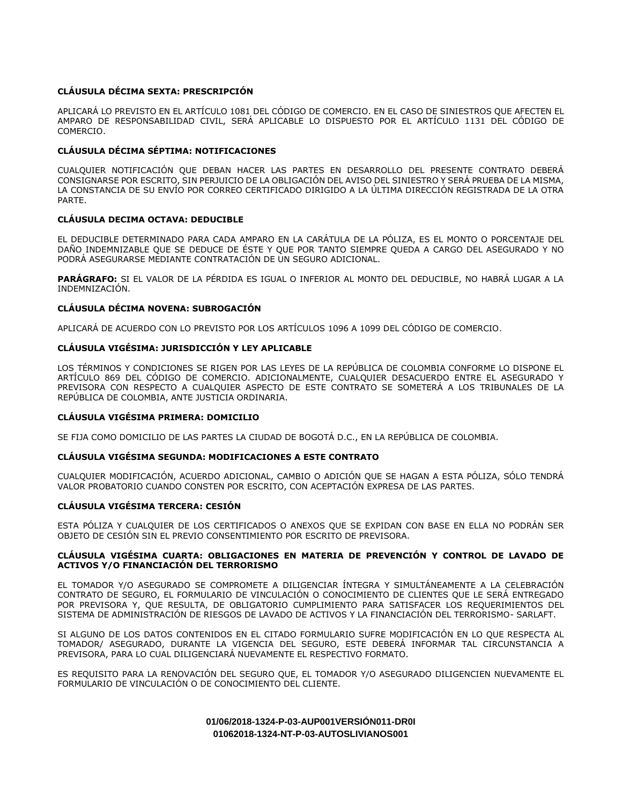# **CLÁUSULA DÉCIMA SEXTA: PRESCRIPCIÓN**

APLICARÁ LO PREVISTO EN EL ARTÍCULO 1081 DEL CÓDIGO DE COMERCIO. EN EL CASO DE SINIESTROS QUE AFECTEN EL AMPARO DE RESPONSABILIDAD CIVIL, SERÁ APLICABLE LO DISPUESTO POR EL ARTÍCULO 1131 DEL CÓDIGO DE COMERCIO.

# **CLÁUSULA DÉCIMA SÉPTIMA: NOTIFICACIONES**

CUALQUIER NOTIFICACIÓN QUE DEBAN HACER LAS PARTES EN DESARROLLO DEL PRESENTE CONTRATO DEBERÁ CONSIGNARSE POR ESCRITO, SIN PERJUICIO DE LA OBLIGACIÓN DEL AVISO DEL SINIESTRO Y SERÁ PRUEBA DE LA MISMA, LA CONSTANCIA DE SU ENVÍO POR CORREO CERTIFICADO DIRIGIDO A LA ÚLTIMA DIRECCIÓN REGISTRADA DE LA OTRA PARTE.

## **CLÁUSULA DECIMA OCTAVA: DEDUCIBLE**

EL DEDUCIBLE DETERMINADO PARA CADA AMPARO EN LA CARÁTULA DE LA PÓLIZA, ES EL MONTO O PORCENTAJE DEL DAÑO INDEMNIZABLE QUE SE DEDUCE DE ÉSTE Y QUE POR TANTO SIEMPRE QUEDA A CARGO DEL ASEGURADO Y NO PODRÁ ASEGURARSE MEDIANTE CONTRATACIÓN DE UN SEGURO ADICIONAL.

**PARÁGRAFO:** SI EL VALOR DE LA PÉRDIDA ES IGUAL O INFERIOR AL MONTO DEL DEDUCIBLE, NO HABRÁ LUGAR A LA INDEMNIZACIÓN.

# **CLÁUSULA DÉCIMA NOVENA: SUBROGACIÓN**

APLICARÁ DE ACUERDO CON LO PREVISTO POR LOS ARTÍCULOS 1096 A 1099 DEL CÓDIGO DE COMERCIO.

# **CLÁUSULA VIGÉSIMA: JURISDICCIÓN Y LEY APLICABLE**

LOS TÉRMINOS Y CONDICIONES SE RIGEN POR LAS LEYES DE LA REPÚBLICA DE COLOMBIA CONFORME LO DISPONE EL ARTÍCULO 869 DEL CÓDIGO DE COMERCIO. ADICIONALMENTE, CUALQUIER DESACUERDO ENTRE EL ASEGURADO Y PREVISORA CON RESPECTO A CUALQUIER ASPECTO DE ESTE CONTRATO SE SOMETERÁ A LOS TRIBUNALES DE LA REPÚBLICA DE COLOMBIA, ANTE JUSTICIA ORDINARIA.

## **CLÁUSULA VIGÉSIMA PRIMERA: DOMICILIO**

SE FIJA COMO DOMICILIO DE LAS PARTES LA CIUDAD DE BOGOTÁ D.C., EN LA REPÚBLICA DE COLOMBIA.

# **CLÁUSULA VIGÉSIMA SEGUNDA: MODIFICACIONES A ESTE CONTRATO**

CUALQUIER MODIFICACIÓN, ACUERDO ADICIONAL, CAMBIO O ADICIÓN QUE SE HAGAN A ESTA PÓLIZA, SÓLO TENDRÁ VALOR PROBATORIO CUANDO CONSTEN POR ESCRITO, CON ACEPTACIÓN EXPRESA DE LAS PARTES.

## **CLÁUSULA VIGÉSIMA TERCERA: CESIÓN**

ESTA PÓLIZA Y CUALQUIER DE LOS CERTIFICADOS O ANEXOS QUE SE EXPIDAN CON BASE EN ELLA NO PODRÁN SER OBJETO DE CESIÓN SIN EL PREVIO CONSENTIMIENTO POR ESCRITO DE PREVISORA.

## **CLÁUSULA VIGÉSIMA CUARTA: OBLIGACIONES EN MATERIA DE PREVENCIÓN Y CONTROL DE LAVADO DE ACTIVOS Y/O FINANCIACIÓN DEL TERRORISMO**

EL TOMADOR Y/O ASEGURADO SE COMPROMETE A DILIGENCIAR ÍNTEGRA Y SIMULTÁNEAMENTE A LA CELEBRACIÓN CONTRATO DE SEGURO, EL FORMULARIO DE VINCULACIÓN O CONOCIMIENTO DE CLIENTES QUE LE SERÁ ENTREGADO POR PREVISORA Y, QUE RESULTA, DE OBLIGATORIO CUMPLIMIENTO PARA SATISFACER LOS REQUERIMIENTOS DEL SISTEMA DE ADMINISTRACIÓN DE RIESGOS DE LAVADO DE ACTIVOS Y LA FINANCIACIÓN DEL TERRORISMO- SARLAFT.

SI ALGUNO DE LOS DATOS CONTENIDOS EN EL CITADO FORMULARIO SUFRE MODIFICACIÓN EN LO QUE RESPECTA AL TOMADOR/ ASEGURADO, DURANTE LA VIGENCIA DEL SEGURO, ESTE DEBERÁ INFORMAR TAL CIRCUNSTANCIA A PREVISORA, PARA LO CUAL DILIGENCIARÁ NUEVAMENTE EL RESPECTIVO FORMATO.

ES REQUISITO PARA LA RENOVACIÓN DEL SEGURO QUE, EL TOMADOR Y/O ASEGURADO DILIGENCIEN NUEVAMENTE EL FORMULARIO DE VINCULACIÓN O DE CONOCIMIENTO DEL CLIENTE.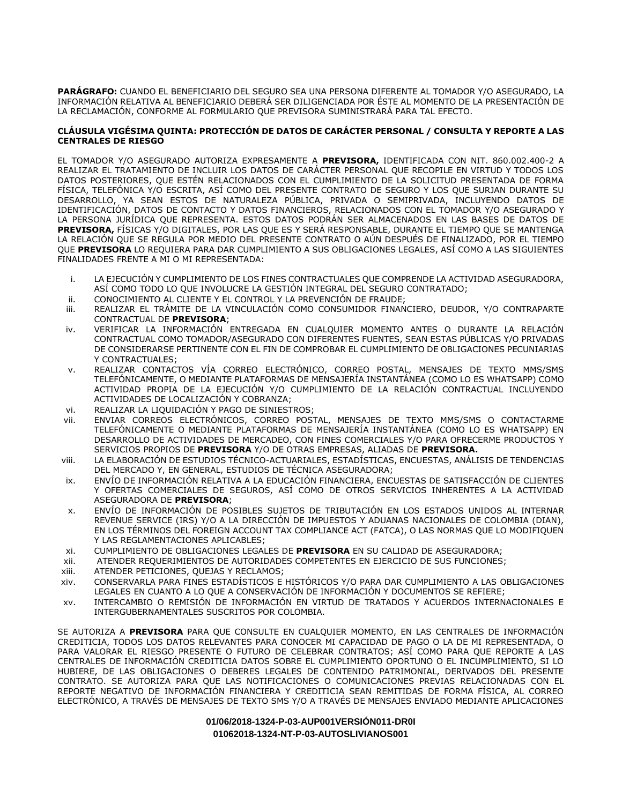**PARÁGRAFO:** CUANDO EL BENEFICIARIO DEL SEGURO SEA UNA PERSONA DIFERENTE AL TOMADOR Y/O ASEGURADO, LA INFORMACIÓN RELATIVA AL BENEFICIARIO DEBERÁ SER DILIGENCIADA POR ÉSTE AL MOMENTO DE LA PRESENTACIÓN DE LA RECLAMACIÓN, CONFORME AL FORMULARIO QUE PREVISORA SUMINISTRARÁ PARA TAL EFECTO.

# **CLÁUSULA VIGÉSIMA QUINTA: PROTECCIÓN DE DATOS DE CARÁCTER PERSONAL / CONSULTA Y REPORTE A LAS CENTRALES DE RIESGO**

EL TOMADOR Y/O ASEGURADO AUTORIZA EXPRESAMENTE A **PREVISORA,** IDENTIFICADA CON NIT. 860.002.400-2 A REALIZAR EL TRATAMIENTO DE INCLUIR LOS DATOS DE CARÁCTER PERSONAL QUE RECOPILE EN VIRTUD Y TODOS LOS DATOS POSTERIORES, QUE ESTÉN RELACIONADOS CON EL CUMPLIMIENTO DE LA SOLICITUD PRESENTADA DE FORMA FÍSICA, TELEFÓNICA Y/O ESCRITA, ASÍ COMO DEL PRESENTE CONTRATO DE SEGURO Y LOS QUE SURJAN DURANTE SU DESARROLLO, YA SEAN ESTOS DE NATURALEZA PÚBLICA, PRIVADA O SEMIPRIVADA, INCLUYENDO DATOS DE IDENTIFICACIÓN, DATOS DE CONTACTO Y DATOS FINANCIEROS, RELACIONADOS CON EL TOMADOR Y/O ASEGURADO Y LA PERSONA JURÍDICA QUE REPRESENTA. ESTOS DATOS PODRÁN SER ALMACENADOS EN LAS BASES DE DATOS DE **PREVISORA,** FÍSICAS Y/O DIGITALES, POR LAS QUE ES Y SERÁ RESPONSABLE, DURANTE EL TIEMPO QUE SE MANTENGA LA RELACIÓN QUE SE REGULA POR MEDIO DEL PRESENTE CONTRATO O AÚN DESPUÉS DE FINALIZADO, POR EL TIEMPO QUE **PREVISORA** LO REQUIERA PARA DAR CUMPLIMIENTO A SUS OBLIGACIONES LEGALES, ASÍ COMO A LAS SIGUIENTES FINALIDADES FRENTE A MI O MI REPRESENTADA:

- i. LA EJECUCIÓN Y CUMPLIMIENTO DE LOS FINES CONTRACTUALES QUE COMPRENDE LA ACTIVIDAD ASEGURADORA, ASÍ COMO TODO LO QUE INVOLUCRE LA GESTIÓN INTEGRAL DEL SEGURO CONTRATADO;
- ii. CONOCIMIENTO AL CLIENTE Y EL CONTROL Y LA PREVENCIÓN DE FRAUDE;
- iii. REALIZAR EL TRÁMITE DE LA VINCULACIÓN COMO CONSUMIDOR FINANCIERO, DEUDOR, Y/O CONTRAPARTE CONTRACTUAL DE **PREVISORA**;
- iv. VERIFICAR LA INFORMACIÓN ENTREGADA EN CUALQUIER MOMENTO ANTES O DURANTE LA RELACIÓN CONTRACTUAL COMO TOMADOR/ASEGURADO CON DIFERENTES FUENTES, SEAN ESTAS PÚBLICAS Y/O PRIVADAS DE CONSIDERARSE PERTINENTE CON EL FIN DE COMPROBAR EL CUMPLIMIENTO DE OBLIGACIONES PECUNIARIAS Y CONTRACTUALES;
- v. REALIZAR CONTACTOS VÍA CORREO ELECTRÓNICO, CORREO POSTAL, MENSAJES DE TEXTO MMS/SMS TELEFÓNICAMENTE, O MEDIANTE PLATAFORMAS DE MENSAJERÍA INSTANTÁNEA (COMO LO ES WHATSAPP) COMO ACTIVIDAD PROPIA DE LA EJECUCIÓN Y/O CUMPLIMIENTO DE LA RELACIÓN CONTRACTUAL INCLUYENDO ACTIVIDADES DE LOCALIZACIÓN Y COBRANZA;
- vi. REALIZAR LA LIQUIDACIÓN Y PAGO DE SINIESTROS;
- vii. ENVIAR CORREOS ELECTRÓNICOS, CORREO POSTAL, MENSAJES DE TEXTO MMS/SMS O CONTACTARME TELEFÓNICAMENTE O MEDIANTE PLATAFORMAS DE MENSAJERÍA INSTANTÁNEA (COMO LO ES WHATSAPP) EN DESARROLLO DE ACTIVIDADES DE MERCADEO, CON FINES COMERCIALES Y/O PARA OFRECERME PRODUCTOS Y SERVICIOS PROPIOS DE **PREVISORA** Y/O DE OTRAS EMPRESAS, ALIADAS DE **PREVISORA.**
- viii. LA ELABORACIÓN DE ESTUDIOS TÉCNICO-ACTUARIALES, ESTADÍSTICAS, ENCUESTAS, ANÁLISIS DE TENDENCIAS DEL MERCADO Y, EN GENERAL, ESTUDIOS DE TÉCNICA ASEGURADORA;
- ix. ENVÍO DE INFORMACIÓN RELATIVA A LA EDUCACIÓN FINANCIERA, ENCUESTAS DE SATISFACCIÓN DE CLIENTES Y OFERTAS COMERCIALES DE SEGUROS, ASÍ COMO DE OTROS SERVICIOS INHERENTES A LA ACTIVIDAD ASEGURADORA DE **PREVISORA**;
- x. ENVÍO DE INFORMACIÓN DE POSIBLES SUJETOS DE TRIBUTACIÓN EN LOS ESTADOS UNIDOS AL INTERNAR REVENUE SERVICE (IRS) Y/O A LA DIRECCIÓN DE IMPUESTOS Y ADUANAS NACIONALES DE COLOMBIA (DIAN), EN LOS TÉRMINOS DEL FOREIGN ACCOUNT TAX COMPLIANCE ACT (FATCA), O LAS NORMAS QUE LO MODIFIQUEN Y LAS REGLAMENTACIONES APLICABLES;
- xi. CUMPLIMIENTO DE OBLIGACIONES LEGALES DE **PREVISORA** EN SU CALIDAD DE ASEGURADORA;
- xii. ATENDER REQUERIMIENTOS DE AUTORIDADES COMPETENTES EN EJERCICIO DE SUS FUNCIONES;
- xiii. ATENDER PETICIONES, QUEJAS Y RECLAMOS;
- xiv. CONSERVARLA PARA FINES ESTADÍSTICOS E HISTÓRICOS Y/O PARA DAR CUMPLIMIENTO A LAS OBLIGACIONES LEGALES EN CUANTO A LO QUE A CONSERVACIÓN DE INFORMACIÓN Y DOCUMENTOS SE REFIERE;
- xv. INTERCAMBIO O REMISIÓN DE INFORMACIÓN EN VIRTUD DE TRATADOS Y ACUERDOS INTERNACIONALES E INTERGUBERNAMENTALES SUSCRITOS POR COLOMBIA.

SE AUTORIZA A **PREVISORA** PARA QUE CONSULTE EN CUALQUIER MOMENTO, EN LAS CENTRALES DE INFORMACIÓN CREDITICIA, TODOS LOS DATOS RELEVANTES PARA CONOCER MI CAPACIDAD DE PAGO O LA DE MI REPRESENTADA, O PARA VALORAR EL RIESGO PRESENTE O FUTURO DE CELEBRAR CONTRATOS; ASÍ COMO PARA QUE REPORTE A LAS CENTRALES DE INFORMACIÓN CREDITICIA DATOS SOBRE EL CUMPLIMIENTO OPORTUNO O EL INCUMPLIMIENTO, SI LO HUBIERE, DE LAS OBLIGACIONES O DEBERES LEGALES DE CONTENIDO PATRIMONIAL, DERIVADOS DEL PRESENTE CONTRATO. SE AUTORIZA PARA QUE LAS NOTIFICACIONES O COMUNICACIONES PREVIAS RELACIONADAS CON EL REPORTE NEGATIVO DE INFORMACIÓN FINANCIERA Y CREDITICIA SEAN REMITIDAS DE FORMA FÍSICA, AL CORREO ELECTRÓNICO, A TRAVÉS DE MENSAJES DE TEXTO SMS Y/O A TRAVÉS DE MENSAJES ENVIADO MEDIANTE APLICACIONES